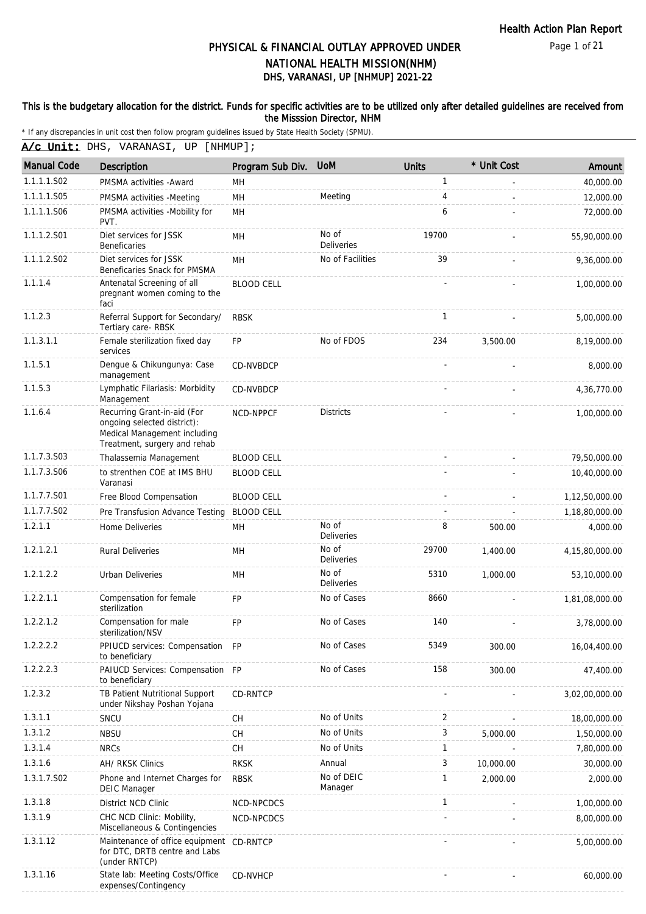Page 1 of 21

# DHS, VARANASI, UP [NHMUP] 2021-22 PHYSICAL & FINANCIAL OUTLAY APPROVED UNDER NATIONAL HEALTH MISSION(NHM)

#### This is the budgetary allocation for the district. Funds for specific activities are to be utilized only after detailed guidelines are received from the Misssion Director, NHM

|  | A/c Unit: DHS, VARANASI, UP [NHMUP]; |  |
|--|--------------------------------------|--|
|  |                                      |  |

| <b>Manual Code</b> | Description                                                                                                                | Program Sub Div.  | <b>UoM</b>                 | <b>Units</b>   | * Unit Cost | Amount         |
|--------------------|----------------------------------------------------------------------------------------------------------------------------|-------------------|----------------------------|----------------|-------------|----------------|
| 1.1.1.1.S02        | PMSMA activities - Award                                                                                                   | MН                |                            | 1              |             | 40,000.00      |
| 1.1.1.1.S05        | PMSMA activities -Meeting                                                                                                  | MH                | Meeting                    | $\overline{4}$ |             | 12,000.00      |
| 1.1.1.1.S06        | PMSMA activities -Mobility for<br>PVT.                                                                                     | MH                |                            | 6              |             | 72,000.00      |
| 1.1.1.2.S01        | Diet services for JSSK<br><b>Beneficaries</b>                                                                              | MH                | No of<br><b>Deliveries</b> | 19700          |             | 55,90,000.00   |
| 1.1.1.2.S02        | Diet services for JSSK<br>Beneficaries Snack for PMSMA                                                                     | MН                | No of Facilities           | 39             |             | 9,36,000.00    |
| 1.1.1.4            | Antenatal Screening of all<br>pregnant women coming to the<br>faci                                                         | <b>BLOOD CELL</b> |                            |                |             | 1,00,000.00    |
| 1.1.2.3            | Referral Support for Secondary/<br>Tertiary care-RBSK                                                                      | <b>RBSK</b>       |                            | 1              |             | 5,00,000.00    |
| 1.1.3.1.1          | Female sterilization fixed day<br>services                                                                                 | <b>FP</b>         | No of FDOS                 | 234            | 3,500.00    | 8,19,000.00    |
| 1.1.5.1            | Dengue & Chikungunya: Case<br>management                                                                                   | CD-NVBDCP         |                            |                |             | 8,000.00       |
| 1.1.5.3            | Lymphatic Filariasis: Morbidity<br>Management                                                                              | CD-NVBDCP         |                            |                |             | 4,36,770.00    |
| 1.1.6.4            | Recurring Grant-in-aid (For<br>ongoing selected district):<br>Medical Management including<br>Treatment, surgery and rehab | NCD-NPPCF         | <b>Districts</b>           |                |             | 1,00,000.00    |
| 1.1.7.3.S03        | Thalassemia Management                                                                                                     | <b>BLOOD CELL</b> |                            |                |             | 79,50,000.00   |
| 1.1.7.3.S06        | to strenthen COE at IMS BHU<br>Varanasi                                                                                    | <b>BLOOD CELL</b> |                            |                |             | 10,40,000.00   |
| 1.1.7.7.S01        | Free Blood Compensation                                                                                                    | <b>BLOOD CELL</b> |                            |                |             | 1,12,50,000.00 |
| 1.1.7.7.S02        | Pre Transfusion Advance Testing                                                                                            | <b>BLOOD CELL</b> |                            |                |             | 1,18,80,000.00 |
| 1.2.1.1            | Home Deliveries                                                                                                            | MН                | No of<br><b>Deliveries</b> | 8              | 500.00      | 4,000.00       |
| 1.2.1.2.1          | <b>Rural Deliveries</b>                                                                                                    | MH                | No of<br><b>Deliveries</b> | 29700          | 1,400.00    | 4,15,80,000.00 |
| 1.2.1.2.2          | <b>Urban Deliveries</b>                                                                                                    | MH                | No of<br><b>Deliveries</b> | 5310           | 1,000.00    | 53,10,000.00   |
| 1.2.2.1.1          | Compensation for female<br>sterilization                                                                                   | <b>FP</b>         | No of Cases                | 8660           |             | 1,81,08,000.00 |
| 1.2.2.1.2          | Compensation for male<br>sterilization/NSV                                                                                 | <b>FP</b>         | No of Cases                | 140            |             | 3,78,000.00    |
| 1.2.2.2.2          | PPIUCD services: Compensation FP<br>to beneficiary                                                                         |                   | No of Cases                | 5349           | 300.00      | 16,04,400.00   |
| 1.2.2.2.3          | PAIUCD Services: Compensation FP<br>to beneficiary                                                                         |                   | No of Cases                | 158            | 300.00      | 47,400.00      |
| 1.2.3.2            | TB Patient Nutritional Support<br>under Nikshay Poshan Yojana                                                              | CD-RNTCP          |                            |                |             | 3,02,00,000.00 |
| 1.3.1.1            | SNCU                                                                                                                       | CН                | No of Units                | 2              |             | 18,00,000.00   |
| 1.3.1.2            | <b>NBSU</b>                                                                                                                | CH                | No of Units                | 3              | 5,000.00    | 1,50,000.00    |
| 1.3.1.4            | <b>NRCs</b>                                                                                                                | CН                | No of Units                | 1              |             | 7,80,000.00    |
| 1.3.1.6            | AH/ RKSK Clinics                                                                                                           | <b>RKSK</b>       | Annual                     | 3              | 10,000.00   | 30,000.00      |
| 1.3.1.7.S02        | Phone and Internet Charges for<br><b>DEIC Manager</b>                                                                      | <b>RBSK</b>       | No of DEIC<br>Manager      | 1              | 2,000.00    | 2,000.00       |
| 1.3.1.8            | District NCD Clinic                                                                                                        | NCD-NPCDCS        |                            | 1              |             | 1,00,000.00    |
| 1.3.1.9            | CHC NCD Clinic: Mobility,<br>Miscellaneous & Contingencies                                                                 | NCD-NPCDCS        |                            |                |             | 8,00,000.00    |
| 1.3.1.12           | Maintenance of office equipment CD-RNTCP<br>for DTC, DRTB centre and Labs<br>(under RNTCP)                                 |                   |                            |                |             | 5,00,000.00    |
| 1.3.1.16           | State lab: Meeting Costs/Office<br>expenses/Contingency                                                                    | CD-NVHCP          |                            |                |             | 60,000.00      |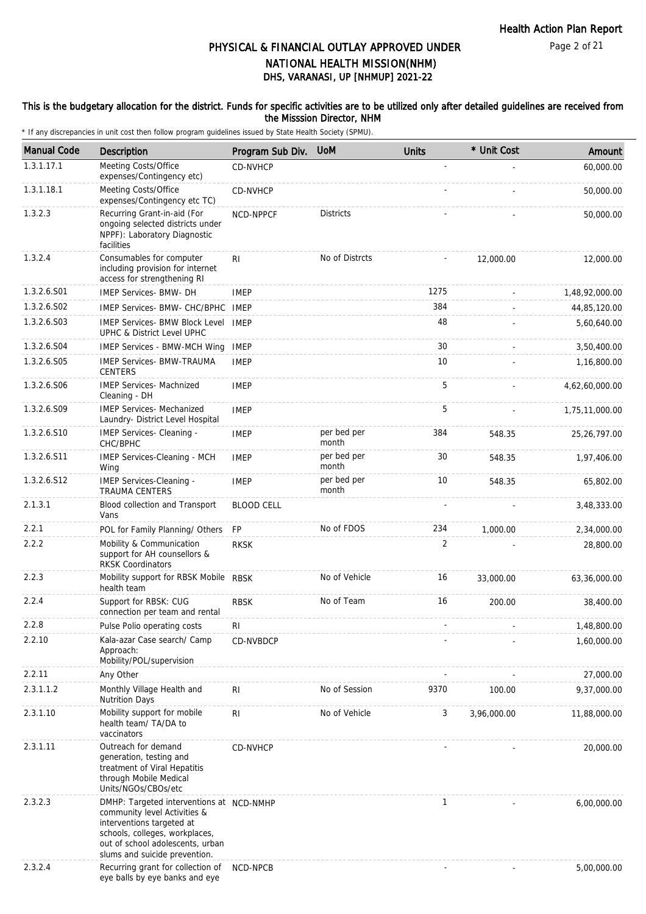#### This is the budgetary allocation for the district. Funds for specific activities are to be utilized only after detailed guidelines are received from the Misssion Director, NHM

| <b>Manual Code</b> | Description                                                                                                                                                                                                  | Program Sub Div.  | <b>UoM</b>           | <b>Units</b>   | * Unit Cost | Amount         |
|--------------------|--------------------------------------------------------------------------------------------------------------------------------------------------------------------------------------------------------------|-------------------|----------------------|----------------|-------------|----------------|
| 1.3.1.17.1         | Meeting Costs/Office<br>expenses/Contingency etc)                                                                                                                                                            | <b>CD-NVHCP</b>   |                      |                |             | 60,000.00      |
| 1.3.1.18.1         | Meeting Costs/Office<br>expenses/Contingency etc TC)                                                                                                                                                         | CD-NVHCP          |                      |                |             | 50,000.00      |
| 1.3.2.3            | Recurring Grant-in-aid (For<br>ongoing selected districts under<br>NPPF): Laboratory Diagnostic<br>facilities                                                                                                | NCD-NPPCF         | <b>Districts</b>     |                |             | 50,000.00      |
| 1.3.2.4            | Consumables for computer<br>including provision for internet<br>access for strengthening RI                                                                                                                  | RI.               | No of Distrcts       |                | 12,000.00   | 12,000.00      |
| 1.3.2.6.S01        | <b>IMEP Services- BMW- DH</b>                                                                                                                                                                                | <b>IMEP</b>       |                      | 1275           |             | 1,48,92,000.00 |
| 1.3.2.6.S02        | IMEP Services- BMW- CHC/BPHC IMEP                                                                                                                                                                            |                   |                      | 384            |             | 44,85,120.00   |
| 1.3.2.6.S03        | IMEP Services- BMW Block Level IMEP<br>UPHC & District Level UPHC                                                                                                                                            |                   |                      | 48             |             | 5,60,640.00    |
| 1.3.2.6.S04        | IMEP Services - BMW-MCH Wing                                                                                                                                                                                 | <b>IMEP</b>       |                      | 30             |             | 3,50,400.00    |
| 1.3.2.6.S05        | <b>IMEP Services- BMW-TRAUMA</b><br><b>CENTERS</b>                                                                                                                                                           | <b>IMEP</b>       |                      | 10             |             | 1,16,800.00    |
| 1.3.2.6.S06        | <b>IMEP Services- Machnized</b><br>Cleaning - DH                                                                                                                                                             | <b>IMEP</b>       |                      | 5              |             | 4,62,60,000.00 |
| 1.3.2.6.S09        | <b>IMEP Services- Mechanized</b><br>Laundry- District Level Hospital                                                                                                                                         | <b>IMEP</b>       |                      | 5              |             | 1,75,11,000.00 |
| 1.3.2.6.S10        | IMEP Services- Cleaning -<br>CHC/BPHC                                                                                                                                                                        | <b>IMEP</b>       | per bed per<br>month | 384            | 548.35      | 25, 26, 797.00 |
| 1.3.2.6.S11        | IMEP Services-Cleaning - MCH<br>Wing                                                                                                                                                                         | <b>IMEP</b>       | per bed per<br>month | 30             | 548.35      | 1,97,406.00    |
| 1.3.2.6.S12        | IMEP Services-Cleaning -<br><b>TRAUMA CENTERS</b>                                                                                                                                                            | <b>IMEP</b>       | per bed per<br>month | 10             | 548.35      | 65,802.00      |
| 2.1.3.1            | Blood collection and Transport<br>Vans                                                                                                                                                                       | <b>BLOOD CELL</b> |                      |                |             | 3,48,333.00    |
| 2.2.1              | POL for Family Planning/ Others                                                                                                                                                                              | <b>FP</b>         | No of FDOS           | 234            | 1,000.00    | 2,34,000.00    |
| 2.2.2              | Mobility & Communication<br>support for AH counsellors &<br><b>RKSK Coordinators</b>                                                                                                                         | <b>RKSK</b>       |                      | $\overline{2}$ |             | 28,800.00      |
| 2.2.3              | Mobility support for RBSK Mobile RBSK<br>health team                                                                                                                                                         |                   | No of Vehicle        | 16             | 33,000.00   | 63,36,000.00   |
| 2.2.4              | Support for RBSK: CUG<br>connection per team and rental                                                                                                                                                      | <b>RBSK</b>       | No of Team           | 16             | 200.00      | 38,400.00      |
| 2.2.8              | Pulse Polio operating costs                                                                                                                                                                                  | RI                |                      |                |             | 1,48,800.00    |
| 2.2.10             | Kala-azar Case search/ Camp<br>Approach:<br>Mobility/POL/supervision                                                                                                                                         | CD-NVBDCP         |                      |                |             | 1,60,000.00    |
| 2.2.11             | Any Other                                                                                                                                                                                                    |                   |                      |                |             | 27,000.00      |
| 2.3.1.1.2          | Monthly Village Health and<br><b>Nutrition Days</b>                                                                                                                                                          | RI.               | No of Session        | 9370           | 100.00      | 9,37,000.00    |
| 2.3.1.10           | Mobility support for mobile<br>health team/ TA/DA to<br>vaccinators                                                                                                                                          | R <sub>1</sub>    | No of Vehicle        | 3              | 3,96,000.00 | 11,88,000.00   |
| 2.3.1.11           | Outreach for demand<br>generation, testing and<br>treatment of Viral Hepatitis<br>through Mobile Medical<br>Units/NGOs/CBOs/etc                                                                              | CD-NVHCP          |                      |                |             | 20,000.00      |
| 2.3.2.3            | DMHP: Targeted interventions at NCD-NMHP<br>community level Activities &<br>interventions targeted at<br>schools, colleges, workplaces,<br>out of school adolescents, urban<br>slums and suicide prevention. |                   |                      | 1              |             | 6,00,000.00    |
| 2.3.2.4            | Recurring grant for collection of<br>eye balls by eye banks and eye                                                                                                                                          | NCD-NPCB          |                      |                |             | 5,00,000.00    |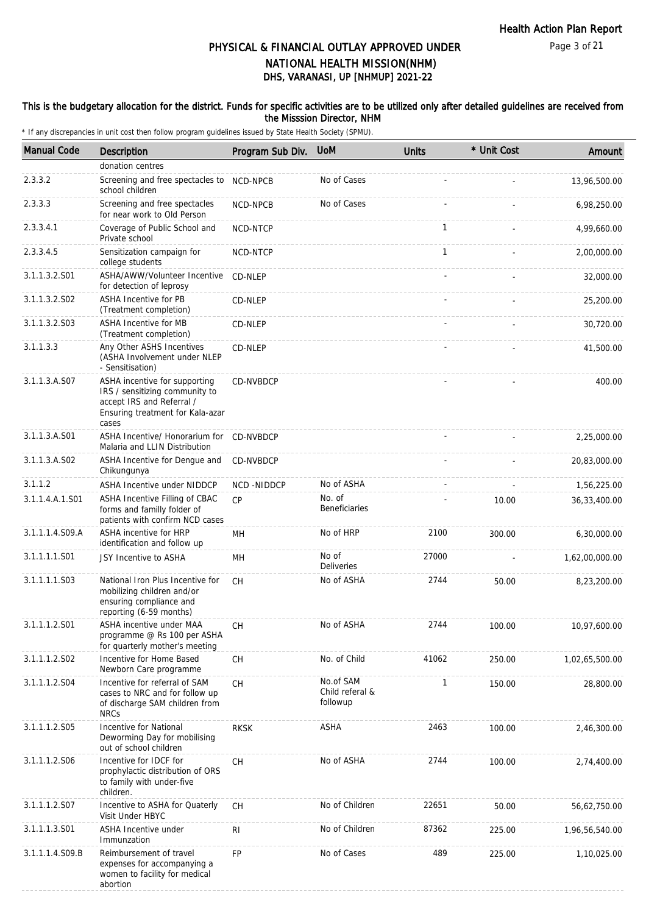#### This is the budgetary allocation for the district. Funds for specific activities are to be utilized only after detailed guidelines are received from the Misssion Director, NHM

| <b>Manual Code</b> | Description                                                                                                                               | Program Sub Div. | <b>UoM</b>                               | <b>Units</b> | * Unit Cost | Amount         |
|--------------------|-------------------------------------------------------------------------------------------------------------------------------------------|------------------|------------------------------------------|--------------|-------------|----------------|
|                    | donation centres                                                                                                                          |                  |                                          |              |             |                |
| 2.3.3.2            | Screening and free spectacles to<br>school children                                                                                       | NCD-NPCB         | No of Cases                              |              |             | 13,96,500.00   |
| 2.3.3.3            | Screening and free spectacles<br>for near work to Old Person                                                                              | NCD-NPCB         | No of Cases                              |              |             | 6,98,250.00    |
| 2.3.3.4.1          | Coverage of Public School and<br>Private school                                                                                           | NCD-NTCP         |                                          | $\mathbf{1}$ |             | 4,99,660.00    |
| 2.3.3.4.5          | Sensitization campaign for<br>college students                                                                                            | NCD-NTCP         |                                          | 1            |             | 2,00,000.00    |
| 3.1.1.3.2.S01      | ASHA/AWW/Volunteer Incentive<br>for detection of leprosy                                                                                  | CD-NLEP          |                                          |              |             | 32,000.00      |
| 3.1.1.3.2.S02      | <b>ASHA Incentive for PB</b><br>(Treatment completion)                                                                                    | CD-NLEP          |                                          |              |             | 25,200.00      |
| 3.1.1.3.2.S03      | ASHA Incentive for MB<br>(Treatment completion)                                                                                           | CD-NLEP          |                                          |              |             | 30,720.00      |
| 3.1.1.3.3          | Any Other ASHS Incentives<br>(ASHA Involvement under NLEP<br>- Sensitisation)                                                             | CD-NLEP          |                                          |              |             | 41,500.00      |
| 3.1.1.3.A.S07      | ASHA incentive for supporting<br>IRS / sensitizing community to<br>accept IRS and Referral /<br>Ensuring treatment for Kala-azar<br>cases | <b>CD-NVBDCP</b> |                                          |              |             | 400.00         |
| 3.1.1.3.A.S01      | ASHA Incentive/ Honorarium for CD-NVBDCP<br>Malaria and LLIN Distribution                                                                 |                  |                                          |              |             | 2,25,000.00    |
| 3.1.1.3.A.S02      | ASHA Incentive for Dengue and<br>Chikungunya                                                                                              | CD-NVBDCP        |                                          |              |             | 20,83,000.00   |
| 3.1.1.2            | <b>ASHA Incentive under NIDDCP</b>                                                                                                        | NCD-NIDDCP       | No of ASHA                               |              |             | 1,56,225.00    |
| 3.1.1.4.A.1.S01    | ASHA Incentive Filling of CBAC<br>forms and familly folder of<br>patients with confirm NCD cases                                          | CP               | No. of<br><b>Beneficiaries</b>           |              | 10.00       | 36,33,400.00   |
| 3.1.1.1.4.S09.A    | ASHA incentive for HRP<br>identification and follow up                                                                                    | MН               | No of HRP                                | 2100         | 300.00      | 6,30,000.00    |
| 3.1.1.1.1.S01      | JSY Incentive to ASHA                                                                                                                     | MH               | No of<br><b>Deliveries</b>               | 27000        |             | 1,62,00,000.00 |
| 3.1.1.1.1.S03      | National Iron Plus Incentive for<br>mobilizing children and/or<br>ensuring compliance and<br>reporting (6-59 months)                      | CH               | No of ASHA                               | 2744         | 50.00       | 8,23,200.00    |
| 3.1.1.1.2.S01      | ASHA incentive under MAA<br>programme @ Rs 100 per ASHA<br>for quarterly mother's meeting                                                 | CH               | No of ASHA                               | 2744         | 100.00      | 10,97,600.00   |
| 3.1.1.1.2.S02      | Incentive for Home Based<br>Newborn Care programme                                                                                        | CH               | No. of Child                             | 41062        | 250.00      | 1,02,65,500.00 |
| 3.1.1.1.2.S04      | Incentive for referral of SAM<br>cases to NRC and for follow up<br>of discharge SAM children from<br><b>NRCs</b>                          | <b>CH</b>        | No.of SAM<br>Child referal &<br>followup | 1            | 150.00      | 28,800.00      |
| 3.1.1.1.2.S05      | Incentive for National<br>Deworming Day for mobilising<br>out of school children                                                          | <b>RKSK</b>      | ASHA                                     | 2463         | 100.00      | 2,46,300.00    |
| 3.1.1.1.2.506      | Incentive for IDCF for<br>prophylactic distribution of ORS<br>to family with under-five<br>children.                                      | CH               | No of ASHA                               | 2744         | 100.00      | 2,74,400.00    |
| 3.1.1.1.2.S07      | Incentive to ASHA for Quaterly<br>Visit Under HBYC                                                                                        | <b>CH</b>        | No of Children                           | 22651        | 50.00       | 56,62,750.00   |
| 3.1.1.1.3.S01      | <b>ASHA Incentive under</b><br>Immunzation                                                                                                | RI               | No of Children                           | 87362        | 225.00      | 1,96,56,540.00 |
| 3.1.1.1.4.S09.B    | Reimbursement of travel<br>expenses for accompanying a<br>women to facility for medical<br>abortion                                       | <b>FP</b>        | No of Cases                              | 489          | 225.00      | 1,10,025.00    |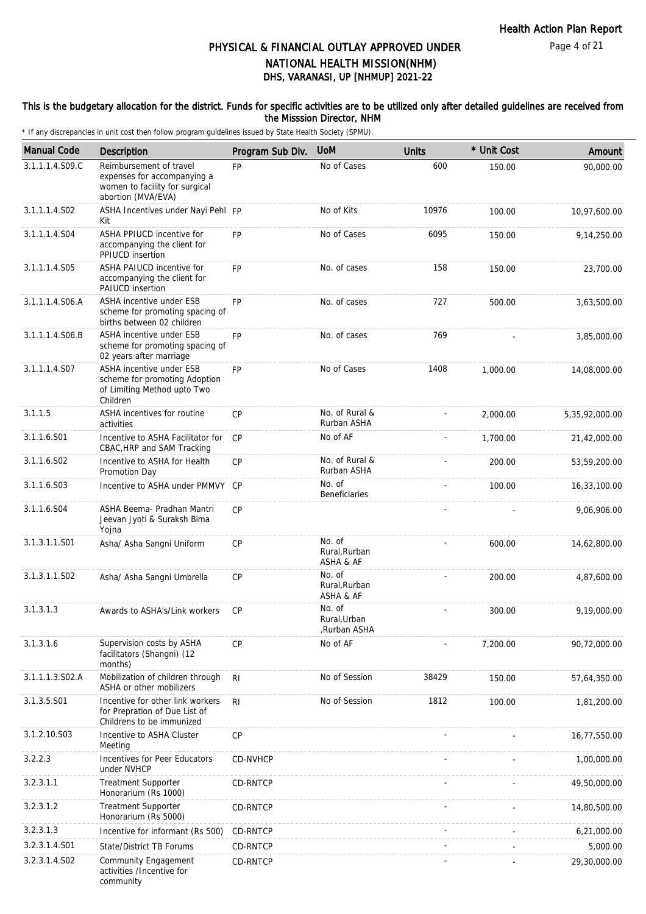#### This is the budgetary allocation for the district. Funds for specific activities are to be utilized only after detailed guidelines are received from the Misssion Director, NHM

| <b>Manual Code</b> | Description                                                                                                    | Program Sub Div. | <b>UoM</b>                             | <b>Units</b> | * Unit Cost | Amount         |
|--------------------|----------------------------------------------------------------------------------------------------------------|------------------|----------------------------------------|--------------|-------------|----------------|
| 3.1.1.1.4.S09.C    | Reimbursement of travel<br>expenses for accompanying a<br>women to facility for surgical<br>abortion (MVA/EVA) | <b>FP</b>        | No of Cases                            | 600          | 150.00      | 90,000.00      |
| 3.1.1.1.4.S02      | ASHA Incentives under Nayi Pehl FP<br>Kit                                                                      |                  | No of Kits                             | 10976        | 100.00      | 10,97,600.00   |
| 3.1.1.1.4.S04      | ASHA PPIUCD incentive for<br>accompanying the client for<br>PPIUCD insertion                                   | <b>FP</b>        | No of Cases                            | 6095         | 150.00      | 9,14,250.00    |
| 3.1.1.1.4.S05      | ASHA PAIUCD incentive for<br>accompanying the client for<br><b>PAIUCD</b> insertion                            | <b>FP</b>        | No. of cases                           | 158          | 150.00      | 23,700.00      |
| 3.1.1.1.4.S06.A    | ASHA incentive under ESB<br>scheme for promoting spacing of<br>births between 02 children                      | <b>FP</b>        | No. of cases                           | 727          | 500.00      | 3,63,500.00    |
| 3.1.1.1.4.S06.B    | ASHA incentive under ESB<br>scheme for promoting spacing of<br>02 years after marriage                         | <b>FP</b>        | No. of cases                           | 769          |             | 3,85,000.00    |
| 3.1.1.1.4.S07      | ASHA incentive under ESB<br>scheme for promoting Adoption<br>of Limiting Method upto Two<br>Children           | <b>FP</b>        | No of Cases                            | 1408         | 1,000.00    | 14,08,000.00   |
| 3.1.1.5            | ASHA incentives for routine<br>activities                                                                      | CP               | No. of Rural &<br>Rurban ASHA          |              | 2,000.00    | 5,35,92,000.00 |
| 3.1.1.6.S01        | Incentive to ASHA Facilitator for<br>CBAC, HRP and SAM Tracking                                                | <b>CP</b>        | No of AF                               |              | 1,700.00    | 21,42,000.00   |
| 3.1.1.6.S02        | Incentive to ASHA for Health<br>Promotion Day                                                                  | CP               | No. of Rural &<br>Rurban ASHA          |              | 200.00      | 53,59,200.00   |
| 3.1.1.6.S03        | Incentive to ASHA under PMMVY CP                                                                               |                  | No. of<br>Beneficiaries                |              | 100.00      | 16,33,100.00   |
| 3.1.1.6.S04        | ASHA Beema- Pradhan Mantri<br>Jeevan Jyoti & Suraksh Bima<br>Yojna                                             | CP               |                                        |              |             | 9,06,906.00    |
| 3.1.3.1.1.S01      | Asha/ Asha Sangni Uniform                                                                                      | CP               | No. of<br>Rural, Rurban<br>ASHA & AF   |              | 600.00      | 14,62,800.00   |
| 3.1.3.1.1.S02      | Asha/ Asha Sangni Umbrella                                                                                     | CP               | No. of<br>Rural, Rurban<br>ASHA & AF   |              | 200.00      | 4,87,600.00    |
| 3.1.3.1.3          | Awards to ASHA's/Link workers                                                                                  | <b>CP</b>        | No. of<br>Rural, Urban<br>,Rurban ASHA |              | 300.00      | 9,19,000.00    |
| 3.1.3.1.6          | Supervision costs by ASHA<br>facilitators (Shangni) (12<br>months)                                             | <b>CP</b>        | No of AF                               |              | 7,200.00    | 90,72,000.00   |
| 3.1.1.1.3.S02.A    | Mobilization of children through<br>ASHA or other mobilizers                                                   | R <sub>l</sub>   | No of Session                          | 38429        | 150.00      | 57,64,350.00   |
| 3.1.3.5.S01        | Incentive for other link workers<br>for Prepration of Due List of<br>Childrens to be immunized                 | R <sub>l</sub>   | No of Session                          | 1812         | 100.00      | 1,81,200.00    |
| 3.1.2.10.S03       | Incentive to ASHA Cluster<br>Meeting                                                                           | CP               |                                        |              |             | 16,77,550.00   |
| 3.2.2.3            | Incentives for Peer Educators<br>under NVHCP                                                                   | <b>CD-NVHCP</b>  |                                        |              |             | 1,00,000.00    |
| 3.2.3.1.1          | <b>Treatment Supporter</b><br>Honorarium (Rs 1000)                                                             | CD-RNTCP         |                                        |              |             | 49,50,000.00   |
| 3.2.3.1.2          | <b>Treatment Supporter</b><br>Honorarium (Rs 5000)                                                             | CD-RNTCP         |                                        |              |             | 14,80,500.00   |
| 3.2.3.1.3          | Incentive for informant (Rs 500)                                                                               | <b>CD-RNTCP</b>  |                                        |              |             | 6,21,000.00    |
| 3.2.3.1.4.S01      | State/District TB Forums                                                                                       | CD-RNTCP         |                                        |              |             | 5,000.00       |
| 3.2.3.1.4.S02      | Community Engagement<br>activities /Incentive for<br>community                                                 | CD-RNTCP         |                                        |              |             | 29,30,000.00   |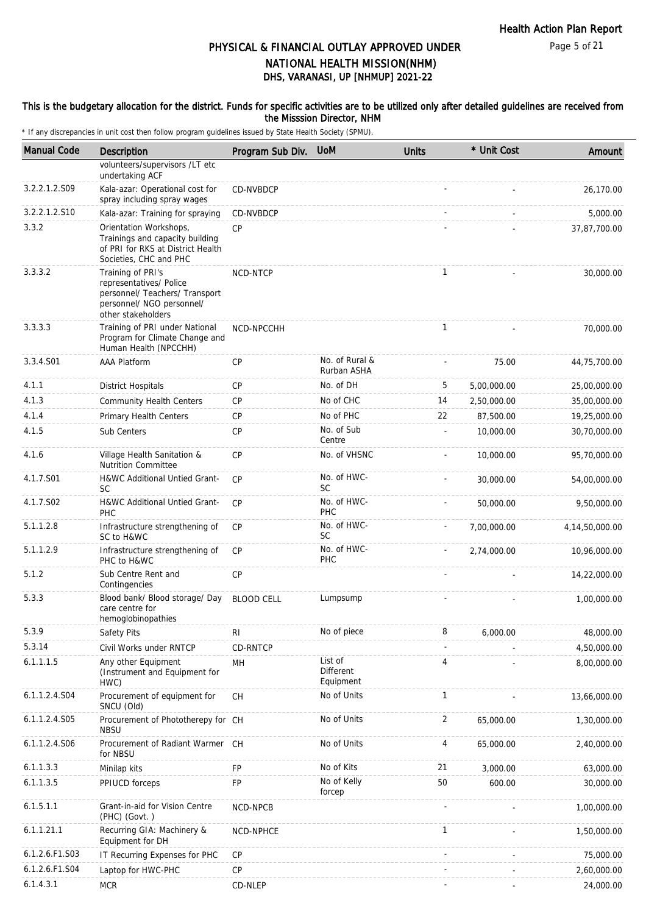#### This is the budgetary allocation for the district. Funds for specific activities are to be utilized only after detailed guidelines are received from the Misssion Director, NHM

| <b>Manual Code</b> | <b>Description</b>                                                                                                                | Program Sub Div. UoM |                                   | <b>Units</b>   | * Unit Cost | Amount             |
|--------------------|-----------------------------------------------------------------------------------------------------------------------------------|----------------------|-----------------------------------|----------------|-------------|--------------------|
|                    | volunteers/supervisors /LT etc                                                                                                    |                      |                                   |                |             |                    |
|                    | undertaking ACF                                                                                                                   |                      |                                   |                |             |                    |
| 3.2.2.1.2.S09      | Kala-azar: Operational cost for<br>spray including spray wages                                                                    | CD-NVBDCP            |                                   |                |             | 26,170.00          |
| 3.2.2.1.2.S10      | Kala-azar: Training for spraying                                                                                                  | CD-NVBDCP            |                                   |                |             | 5,000.00           |
| 3.3.2              | Orientation Workshops,<br>Trainings and capacity building<br>of PRI for RKS at District Health<br>Societies, CHC and PHC          | <b>CP</b>            |                                   |                |             | 37,87,700.00       |
| 3.3.3.2            | Training of PRI's<br>representatives/ Police<br>personnel/ Teachers/ Transport<br>personnel/ NGO personnel/<br>other stakeholders | NCD-NTCP             |                                   | $\mathbf{1}$   |             | 30,000.00          |
| 3.3.3.3            | Training of PRI under National<br>Program for Climate Change and<br>Human Health (NPCCHH)                                         | NCD-NPCCHH           |                                   | $\mathbf{1}$   |             | 70,000.00          |
| 3.3.4.S01          | <b>AAA Platform</b>                                                                                                               | CP                   | No. of Rural &<br>Rurban ASHA     |                | 75.00       | 44,75,700.00       |
| 4.1.1              | <b>District Hospitals</b>                                                                                                         | CP                   | No. of DH                         | 5              | 5,00,000.00 | 25,00,000.00       |
| 4.1.3              | <b>Community Health Centers</b>                                                                                                   | CP                   | No of CHC                         | 14             | 2,50,000.00 | 35,00,000.00       |
| 4.1.4              | Primary Health Centers                                                                                                            | СP                   | No of PHC                         | 22             | 87,500.00   | 19,25,000.00       |
| 4.1.5              | Sub Centers                                                                                                                       | CP                   | No. of Sub<br>Centre              |                | 10,000.00   | 30,70,000.00       |
| 4.1.6              | Village Health Sanitation &<br><b>Nutrition Committee</b>                                                                         | <b>CP</b>            | No. of VHSNC                      |                | 10,000.00   | 95,70,000.00       |
| 4.1.7.S01          | H&WC Additional Untied Grant-<br><b>SC</b>                                                                                        | CP                   | No. of HWC-<br><b>SC</b>          |                | 30,000.00   | 54,00,000.00       |
| 4.1.7.S02          | H&WC Additional Untied Grant-<br>PHC                                                                                              | <b>CP</b>            | No. of HWC-<br>PHC                |                | 50,000.00   | 9,50,000.00        |
| 5.1.1.2.8          | Infrastructure strengthening of<br>SC to H&WC                                                                                     | <b>CP</b>            | No. of HWC-<br><b>SC</b>          |                | 7,00,000.00 | 4, 14, 50, 000. 00 |
| 5.1.1.2.9          | Infrastructure strengthening of<br>PHC to H&WC                                                                                    | <b>CP</b>            | No. of HWC-<br><b>PHC</b>         |                | 2,74,000.00 | 10,96,000.00       |
| 5.1.2              | Sub Centre Rent and<br>Contingencies                                                                                              | CP                   |                                   |                |             | 14,22,000.00       |
| 5.3.3              | Blood bank/ Blood storage/ Day<br>care centre for<br>hemoglobinopathies                                                           | <b>BLOOD CELL</b>    | Lumpsump                          |                |             | 1,00,000.00        |
| 5.3.9              | Safety Pits                                                                                                                       | R <sub>l</sub>       | No of piece                       | 8              | 6,000.00    | 48,000.00          |
| 5.3.14             | Civil Works under RNTCP                                                                                                           | CD-RNTCP             |                                   |                |             | 4,50,000.00        |
| 6.1.1.1.5          | Any other Equipment<br>(Instrument and Equipment for<br>HWC)                                                                      | MH                   | List of<br>Different<br>Equipment | 4              |             | 8,00,000.00        |
| 6.1.1.2.4.S04      | Procurement of equipment for<br>SNCU (Old)                                                                                        | <b>CH</b>            | No of Units                       | $\mathbf{1}$   |             | 13,66,000.00       |
| 6.1.1.2.4.S05      | Procurement of Phototherepy for CH<br><b>NBSU</b>                                                                                 |                      | No of Units                       | $\overline{2}$ | 65,000.00   | 1,30,000.00        |
| 6.1.1.2.4.S06      | Procurement of Radiant Warmer CH<br>for NBSU                                                                                      |                      | No of Units                       | 4              | 65,000.00   | 2,40,000.00        |
| 6.1.1.3.3          | Minilap kits                                                                                                                      | FP                   | No of Kits                        | 21             | 3,000.00    | 63,000.00          |
| 6.1.1.3.5          | PPIUCD forceps                                                                                                                    | FP                   | No of Kelly<br>forcep             | 50             | 600.00      | 30,000.00          |
| 6.1.5.1.1          | Grant-in-aid for Vision Centre<br>$(PHC)$ $(Govt.)$                                                                               | NCD-NPCB             |                                   |                |             | 1,00,000.00        |
| 6.1.1.21.1         | Recurring GIA: Machinery &<br>Equipment for DH                                                                                    | NCD-NPHCE            |                                   | $\mathbf{1}$   |             | 1,50,000.00        |
| 6.1.2.6.F1.S03     | IT Recurring Expenses for PHC                                                                                                     | CP                   |                                   |                |             | 75,000.00          |
| 6.1.2.6.F1.S04     | Laptop for HWC-PHC                                                                                                                | $\mathsf{CP}$        |                                   |                |             | 2,60,000.00        |
| 6.1.4.3.1          | <b>MCR</b>                                                                                                                        | CD-NLEP              |                                   |                |             | 24,000.00          |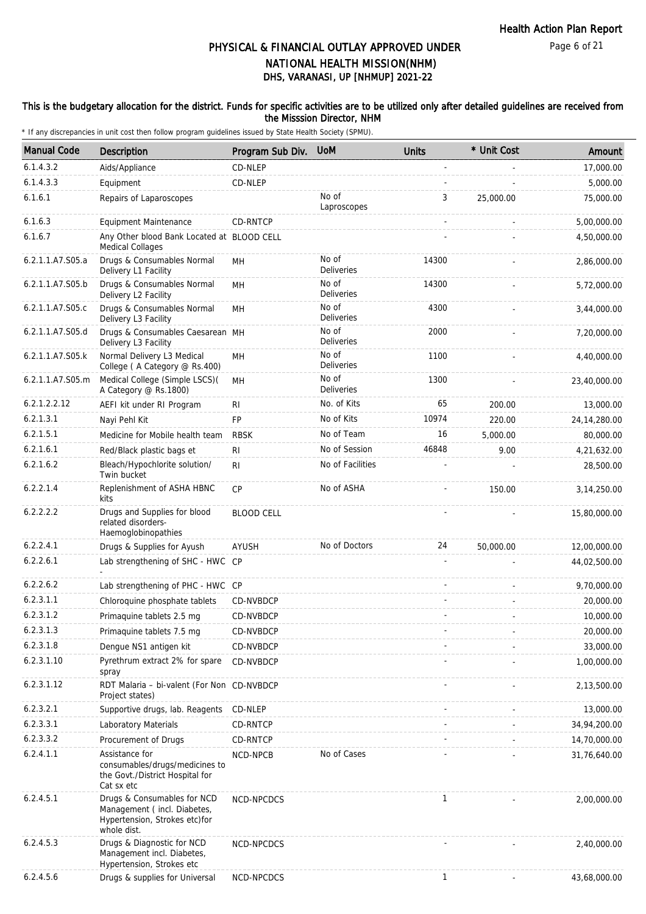#### This is the budgetary allocation for the district. Funds for specific activities are to be utilized only after detailed guidelines are received from the Misssion Director, NHM

| <b>Manual Code</b> | <b>Description</b>                                                                                         | Program Sub Div.  | <b>UoM</b>                 | <b>Units</b> | * Unit Cost | Amount         |
|--------------------|------------------------------------------------------------------------------------------------------------|-------------------|----------------------------|--------------|-------------|----------------|
| 6.1.4.3.2          | Aids/Appliance                                                                                             | CD-NLEP           |                            |              |             | 17,000.00      |
| 6.1.4.3.3          | Equipment                                                                                                  | CD-NLEP           |                            |              |             | 5,000.00       |
| 6.1.6.1            | Repairs of Laparoscopes                                                                                    |                   | No of<br>Laproscopes       | 3            | 25,000.00   | 75,000.00      |
| 6.1.6.3            | Equipment Maintenance                                                                                      | CD-RNTCP          |                            |              |             | 5,00,000.00    |
| 6.1.6.7            | Any Other blood Bank Located at BLOOD CELL<br>Medical Collages                                             |                   |                            |              |             | 4,50,000.00    |
| 6.2.1.1.A7.S05.a   | Drugs & Consumables Normal<br>Delivery L1 Facility                                                         | MН                | No of<br><b>Deliveries</b> | 14300        |             | 2,86,000.00    |
| 6.2.1.1.A7.S05.b   | Drugs & Consumables Normal<br>Delivery L2 Facility                                                         | MH                | No of<br><b>Deliveries</b> | 14300        |             | 5,72,000.00    |
| 6.2.1.1.A7.S05.c   | Drugs & Consumables Normal<br>Delivery L3 Facility                                                         | MH                | No of<br>Deliveries        | 4300         |             | 3,44,000.00    |
| 6.2.1.1.A7.S05.d   | Drugs & Consumables Caesarean MH<br>Delivery L3 Facility                                                   |                   | No of<br><b>Deliveries</b> | 2000         |             | 7,20,000.00    |
| 6.2.1.1.A7.S05.k   | Normal Delivery L3 Medical<br>College (A Category @ Rs.400)                                                | MH                | No of<br>Deliveries        | 1100         |             | 4,40,000.00    |
| 6.2.1.1.A7.S05.m   | Medical College (Simple LSCS)(<br>A Category @ Rs.1800)                                                    | MН                | No of<br>Deliveries        | 1300         |             | 23,40,000.00   |
| 6.2.1.2.2.12       | AEFI kit under RI Program                                                                                  | <b>RI</b>         | No. of Kits                | 65           | 200.00      | 13,000.00      |
| 6.2.1.3.1          | Nayi Pehl Kit                                                                                              | <b>FP</b>         | No of Kits                 | 10974        | 220.00      | 24, 14, 280.00 |
| 6.2.1.5.1          | Medicine for Mobile health team                                                                            | <b>RBSK</b>       | No of Team                 | 16           | 5,000.00    | 80,000.00      |
| 6.2.1.6.1          | Red/Black plastic bags et                                                                                  | R <sub>l</sub>    | No of Session              | 46848        | 9.00        | 4,21,632.00    |
| 6.2.1.6.2          | Bleach/Hypochlorite solution/<br>Twin bucket                                                               | R <sub>l</sub>    | No of Facilities           |              |             | 28,500.00      |
| 6.2.2.1.4          | Replenishment of ASHA HBNC<br>kits                                                                         | CP                | No of ASHA                 |              | 150.00      | 3, 14, 250.00  |
| 6.2.2.2.2          | Drugs and Supplies for blood<br>related disorders-<br>Haemoglobinopathies                                  | <b>BLOOD CELL</b> |                            |              |             | 15,80,000.00   |
| 6.2.2.4.1          | Drugs & Supplies for Ayush                                                                                 | AYUSH             | No of Doctors              | 24           | 50,000.00   | 12,00,000.00   |
| 6.2.2.6.1          | Lab strengthening of SHC - HWC CP                                                                          |                   |                            |              |             | 44,02,500.00   |
| 6.2.2.6.2          | Lab strengthening of PHC - HWC CP                                                                          |                   |                            |              |             | 9,70,000.00    |
| 6.2.3.1.1          | Chloroquine phosphate tablets                                                                              | CD-NVBDCP         |                            |              |             | 20,000.00      |
| 6.2.3.1.2          | Primaquine tablets 2.5 mg                                                                                  | CD-NVBDCP         |                            |              |             | 10,000.00      |
| 6.2.3.1.3          | Primaquine tablets 7.5 mg                                                                                  | CD-NVBDCP         |                            |              |             | 20,000.00      |
| 6.2.3.1.8          | Dengue NS1 antigen kit                                                                                     | CD-NVBDCP         |                            |              |             | 33,000.00      |
| 6.2.3.1.10         | Pyrethrum extract 2% for spare<br>spray                                                                    | CD-NVBDCP         |                            |              |             | 1,00,000.00    |
| 6.2.3.1.12         | RDT Malaria - bi-valent (For Non CD-NVBDCP<br>Project states)                                              |                   |                            |              |             | 2,13,500.00    |
| 6.2.3.2.1          | Supportive drugs, lab. Reagents                                                                            | CD-NLEP           |                            |              |             | 13,000.00      |
| 6.2.3.3.1          | Laboratory Materials                                                                                       | CD-RNTCP          |                            |              |             | 34,94,200.00   |
| 6.2.3.3.2          | Procurement of Drugs                                                                                       | CD-RNTCP          |                            |              |             | 14,70,000.00   |
| 6.2.4.1.1          | Assistance for<br>consumables/drugs/medicines to<br>the Govt./District Hospital for<br>Cat sx etc          | NCD-NPCB          | No of Cases                |              |             | 31,76,640.00   |
| 6.2.4.5.1          | Drugs & Consumables for NCD<br>Management (incl. Diabetes,<br>Hypertension, Strokes etc)for<br>whole dist. | NCD-NPCDCS        |                            | $\mathbf{1}$ |             | 2,00,000.00    |
| 6.2.4.5.3          | Drugs & Diagnostic for NCD<br>Management incl. Diabetes,<br>Hypertension, Strokes etc                      | NCD-NPCDCS        |                            |              |             | 2,40,000.00    |
| 6.2.4.5.6          | Drugs & supplies for Universal                                                                             | NCD-NPCDCS        |                            | $\mathbf{1}$ |             | 43,68,000.00   |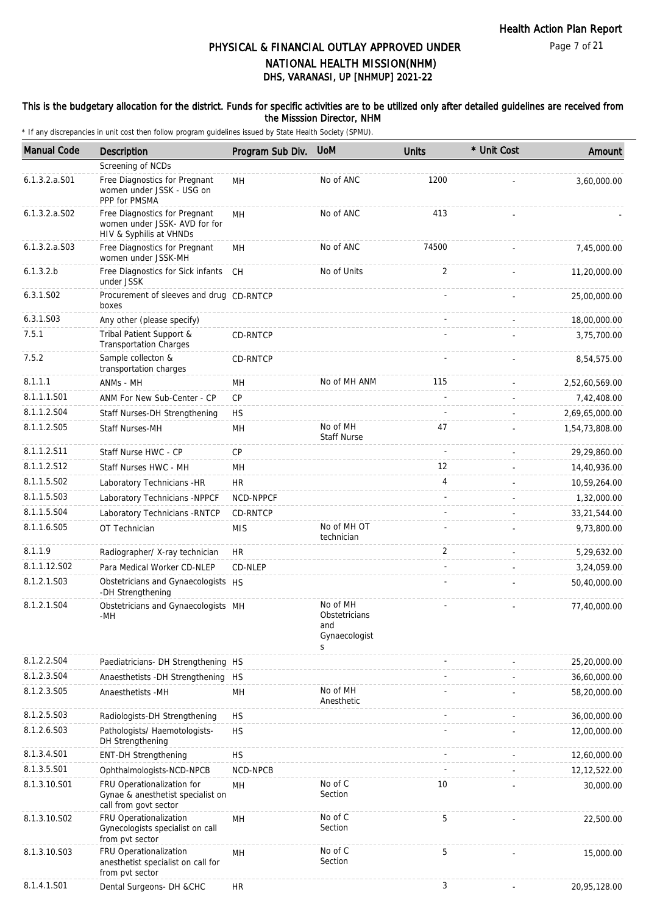#### This is the budgetary allocation for the district. Funds for specific activities are to be utilized only after detailed guidelines are received from the Misssion Director, NHM

| <b>Manual Code</b> | <b>Description</b>                                                                        | Program Sub Div. | <b>UoM</b>                                             | <b>Units</b>   | * Unit Cost | Amount         |
|--------------------|-------------------------------------------------------------------------------------------|------------------|--------------------------------------------------------|----------------|-------------|----------------|
|                    | Screening of NCDs                                                                         |                  |                                                        |                |             |                |
| 6.1.3.2.a.S01      | Free Diagnostics for Pregnant<br>women under JSSK - USG on<br>PPP for PMSMA               | <b>MH</b>        | No of ANC                                              | 1200           |             | 3,60,000.00    |
| $6.1.3.2.a.$ SO2   | Free Diagnostics for Pregnant<br>women under JSSK- AVD for for<br>HIV & Syphilis at VHNDs | MН               | No of ANC                                              | 413            |             |                |
| $6.1.3.2.a.$ SO3   | Free Diagnostics for Pregnant<br>women under JSSK-MH                                      | MН               | No of ANC                                              | 74500          |             | 7,45,000.00    |
| 6.1.3.2.b          | Free Diagnostics for Sick infants<br>under JSSK                                           | CH               | No of Units                                            | 2              |             | 11,20,000.00   |
| 6.3.1.S02          | Procurement of sleeves and drug CD-RNTCP<br>boxes                                         |                  |                                                        |                |             | 25,00,000.00   |
| 6.3.1.S03          | Any other (please specify)                                                                |                  |                                                        |                |             | 18,00,000.00   |
| 7.5.1              | Tribal Patient Support &<br><b>Transportation Charges</b>                                 | CD-RNTCP         |                                                        |                |             | 3,75,700.00    |
| 7.5.2              | Sample collecton &<br>transportation charges                                              | CD-RNTCP         |                                                        |                |             | 8,54,575.00    |
| 8.1.1.1            | ANMs - MH                                                                                 | MН               | No of MH ANM                                           | 115            |             | 2,52,60,569.00 |
| 8.1.1.1.S01        | ANM For New Sub-Center - CP                                                               | CP               |                                                        |                |             | 7,42,408.00    |
| 8.1.1.2.S04        | Staff Nurses-DH Strengthening                                                             | <b>HS</b>        |                                                        |                |             | 2,69,65,000.00 |
| 8.1.1.2.S05        | <b>Staff Nurses-MH</b>                                                                    | MH               | No of MH<br><b>Staff Nurse</b>                         | 47             |             | 1,54,73,808.00 |
| 8.1.1.2.S11        | Staff Nurse HWC - CP                                                                      | CP               |                                                        |                |             | 29,29,860.00   |
| 8.1.1.2.S12        | Staff Nurses HWC - MH                                                                     | MH               |                                                        | 12             |             | 14,40,936.00   |
| 8.1.1.5.S02        | Laboratory Technicians -HR                                                                | <b>HR</b>        |                                                        | $\overline{4}$ |             | 10,59,264.00   |
| 8.1.1.5.S03        | Laboratory Technicians -NPPCF                                                             | NCD-NPPCF        |                                                        |                |             | 1,32,000.00    |
| 8.1.1.5.S04        | Laboratory Technicians - RNTCP                                                            | CD-RNTCP         |                                                        |                |             | 33,21,544.00   |
| 8.1.1.6.S05        | OT Technician                                                                             | <b>MIS</b>       | No of MH OT<br>technician                              |                |             | 9,73,800.00    |
| 8.1.1.9            | Radiographer/ X-ray technician                                                            | <b>HR</b>        |                                                        | 2              |             | 5,29,632.00    |
| 8.1.1.12.S02       | Para Medical Worker CD-NLEP                                                               | CD-NLEP          |                                                        |                |             | 3,24,059.00    |
| 8.1.2.1.S03        | Obstetricians and Gynaecologists HS<br>-DH Strengthening                                  |                  |                                                        |                |             | 50,40,000.00   |
| 8.1.2.1.S04        | Obstetricians and Gynaecologists MH<br>-MH                                                |                  | No of MH<br>Obstetricians<br>and<br>Gynaecologist<br>S |                |             | 77,40,000.00   |
| 8.1.2.2.S04        | Paediatricians- DH Strengthening HS                                                       |                  |                                                        |                |             | 25,20,000.00   |
| 8.1.2.3.S04        | Anaesthetists - DH Strengthening HS                                                       |                  |                                                        |                |             | 36,60,000.00   |
| 8.1.2.3.S05        | Anaesthetists -MH                                                                         | MH               | No of MH<br>Anesthetic                                 |                |             | 58,20,000.00   |
| 8.1.2.5.S03        | Radiologists-DH Strengthening                                                             | <b>HS</b>        |                                                        |                |             | 36,00,000.00   |
| 8.1.2.6.S03        | Pathologists/ Haemotologists-<br>DH Strengthening                                         | <b>HS</b>        |                                                        |                |             | 12,00,000.00   |
| 8.1.3.4.S01        | <b>ENT-DH Strengthening</b>                                                               | <b>HS</b>        |                                                        |                |             | 12,60,000.00   |
| 8.1.3.5.S01        | Ophthalmologists-NCD-NPCB                                                                 | NCD-NPCB         |                                                        |                |             | 12, 12, 522.00 |
| 8.1.3.10.S01       | FRU Operationalization for<br>Gynae & anesthetist specialist on<br>call from govt sector  | MH               | No of C<br>Section                                     | 10             |             | 30,000.00      |
| 8.1.3.10.S02       | FRU Operationalization<br>Gynecologists specialist on call<br>from pvt sector             | MH               | No of C<br>Section                                     | 5              |             | 22,500.00      |
| 8.1.3.10.S03       | FRU Operationalization<br>anesthetist specialist on call for<br>from pvt sector           | MH               | No of C<br>Section                                     | 5              |             | 15,000.00      |
| 8.1.4.1.S01        | Dental Surgeons- DH &CHC                                                                  | <b>HR</b>        |                                                        | 3              |             | 20,95,128.00   |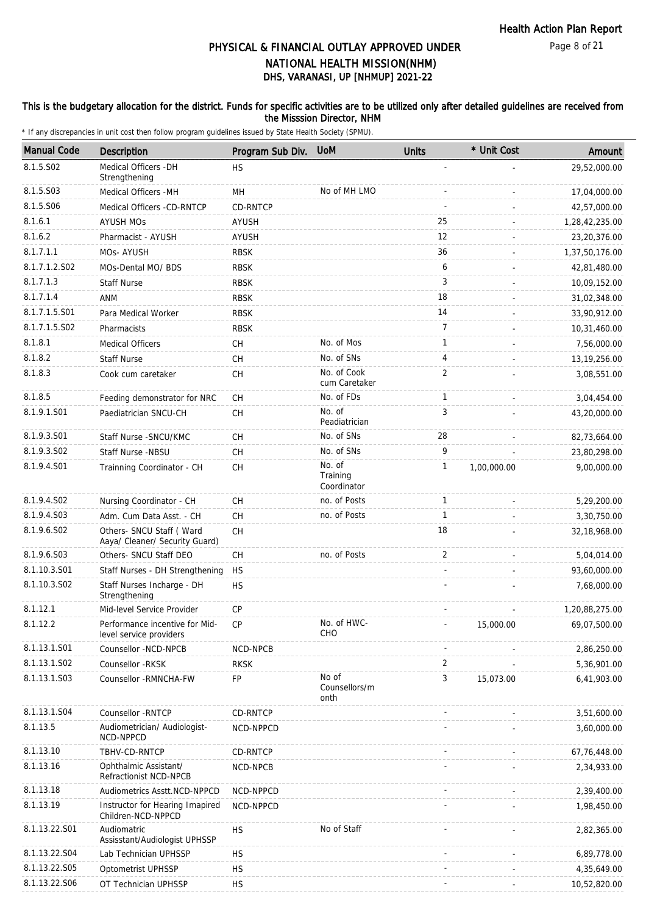#### This is the budgetary allocation for the district. Funds for specific activities are to be utilized only after detailed guidelines are received from the Misssion Director, NHM

| <b>Manual Code</b> | <b>Description</b>                                         | Program Sub Div.                         | <b>UoM</b>                        | <b>Units</b>   | * Unit Cost | Amount         |
|--------------------|------------------------------------------------------------|------------------------------------------|-----------------------------------|----------------|-------------|----------------|
| 8.1.5.S02          | Medical Officers - DH<br>Strengthening                     | <b>HS</b>                                |                                   |                |             | 29,52,000.00   |
| 8.1.5.S03          | Medical Officers - MH                                      | MH                                       | No of MH LMO                      |                |             | 17,04,000.00   |
| 8.1.5.S06          | Medical Officers -CD-RNTCP                                 | CD-RNTCP                                 |                                   |                |             | 42,57,000.00   |
| 8.1.6.1            | <b>AYUSH MOS</b>                                           | <b>AYUSH</b>                             |                                   | 25             |             | 1,28,42,235.00 |
| 8.1.6.2            | Pharmacist - AYUSH                                         | <b>AYUSH</b>                             |                                   | 12             |             | 23,20,376.00   |
| 8.1.7.1.1          | MOs-AYUSH                                                  | <b>RBSK</b>                              |                                   | 36             |             | 1,37,50,176.00 |
| 8.1.7.1.2.S02      | MOs-Dental MO/ BDS                                         | <b>RBSK</b>                              |                                   | 6              |             | 42,81,480.00   |
| 8.1.7.1.3          | <b>Staff Nurse</b>                                         | <b>RBSK</b>                              |                                   | 3              |             | 10,09,152.00   |
| 8.1.7.1.4          | ANM                                                        | <b>RBSK</b>                              |                                   | 18             |             | 31,02,348.00   |
| 8.1.7.1.5.S01      | Para Medical Worker                                        | <b>RBSK</b>                              |                                   | 14             |             | 33,90,912.00   |
| 8.1.7.1.5.S02      | Pharmacists                                                | <b>RBSK</b>                              |                                   | $\overline{7}$ |             | 10,31,460.00   |
| 8.1.8.1            | <b>Medical Officers</b>                                    | <b>CH</b>                                | No. of Mos                        | $\mathbf{1}$   |             | 7,56,000.00    |
| 8.1.8.2            | <b>Staff Nurse</b>                                         | <b>CH</b>                                | No. of SNs                        | 4              |             | 13, 19, 256.00 |
| 8.1.8.3            | Cook cum caretaker                                         | <b>CH</b>                                | No. of Cook<br>cum Caretaker      | 2              |             | 3,08,551.00    |
| 8.1.8.5            | Feeding demonstrator for NRC                               | <b>CH</b>                                | No. of FDs                        | $\mathbf{1}$   |             | 3,04,454.00    |
| 8.1.9.1.S01        | Paediatrician SNCU-CH                                      | <b>CH</b>                                | No. of<br>Peadiatrician           | 3              |             | 43,20,000.00   |
| 8.1.9.3.S01        | Staff Nurse - SNCU/KMC                                     | <b>CH</b>                                | No. of SNs                        | 28             |             | 82,73,664.00   |
| 8.1.9.3.SO2        | Staff Nurse -NBSU                                          | <b>CH</b>                                | No. of SNs                        | 9              |             | 23,80,298.00   |
| 8.1.9.4.S01        | Trainning Coordinator - CH                                 | <b>CH</b>                                | No. of<br>Training<br>Coordinator | $\mathbf{1}$   | 1,00,000.00 | 9,00,000.00    |
| 8.1.9.4.SO2        | Nursing Coordinator - CH                                   | СH                                       | no. of Posts                      | $\mathbf{1}$   |             | 5,29,200.00    |
| 8.1.9.4.S03        | Adm. Cum Data Asst. - CH                                   | <b>CH</b>                                | no. of Posts                      | $\mathbf{1}$   |             | 3,30,750.00    |
| 8.1.9.6.SO2        | Others- SNCU Staff (Ward<br>Aaya/ Cleaner/ Security Guard) | $\mathsf{CH}% \left( \mathcal{M}\right)$ |                                   | 18             |             | 32,18,968.00   |
| 8.1.9.6.S03        | Others- SNCU Staff DEO                                     | CH                                       | no. of Posts                      | 2              |             | 5,04,014.00    |
| 8.1.10.3.S01       | Staff Nurses - DH Strengthening                            | <b>HS</b>                                |                                   |                |             | 93,60,000.00   |
| 8.1.10.3.S02       | Staff Nurses Incharge - DH<br>Strengthening                | <b>HS</b>                                |                                   |                |             | 7,68,000.00    |
| 8.1.12.1           | Mid-level Service Provider                                 | CP                                       |                                   |                |             | 1,20,88,275.00 |
| 8.1.12.2           | Performance incentive for Mid-<br>level service providers  | СP                                       | No. of HWC-<br>CHO                |                | 15,000.00   | 69,07,500.00   |
| 8.1.13.1.S01       | Counsellor -NCD-NPCB                                       | NCD-NPCB                                 |                                   |                |             | 2,86,250.00    |
| 8.1.13.1.S02       | Counsellor -RKSK                                           | <b>RKSK</b>                              |                                   | 2              |             | 5,36,901.00    |
| 8.1.13.1.S03       | Counsellor - RMNCHA-FW                                     | FP                                       | No of<br>Counsellors/m<br>onth    | 3              | 15,073.00   | 6,41,903.00    |
| 8.1.13.1.S04       | Counsellor - RNTCP                                         | CD-RNTCP                                 |                                   |                |             | 3,51,600.00    |
| 8.1.13.5           | Audiometrician/ Audiologist-<br>NCD-NPPCD                  | NCD-NPPCD                                |                                   |                |             | 3,60,000.00    |
| 8.1.13.10          | TBHV-CD-RNTCP                                              | CD-RNTCP                                 |                                   |                |             | 67,76,448.00   |
| 8.1.13.16          | Ophthalmic Assistant/<br>Refractionist NCD-NPCB            | NCD-NPCB                                 |                                   |                |             | 2,34,933.00    |
| 8.1.13.18          | Audiometrics Asstt.NCD-NPPCD                               | NCD-NPPCD                                |                                   |                |             | 2,39,400.00    |
| 8.1.13.19          | Instructor for Hearing Imapired<br>Children-NCD-NPPCD      | NCD-NPPCD                                |                                   |                |             | 1,98,450.00    |
| 8.1.13.22.S01      | Audiomatric<br>Assisstant/Audiologist UPHSSP               | <b>HS</b>                                | No of Staff                       |                |             | 2,82,365.00    |
| 8.1.13.22.S04      | Lab Technician UPHSSP                                      | <b>HS</b>                                |                                   |                |             | 6,89,778.00    |
| 8.1.13.22.S05      | Optometrist UPHSSP                                         | <b>HS</b>                                |                                   |                |             | 4,35,649.00    |
| 8.1.13.22.S06      | OT Technician UPHSSP                                       | <b>HS</b>                                |                                   |                |             | 10,52,820.00   |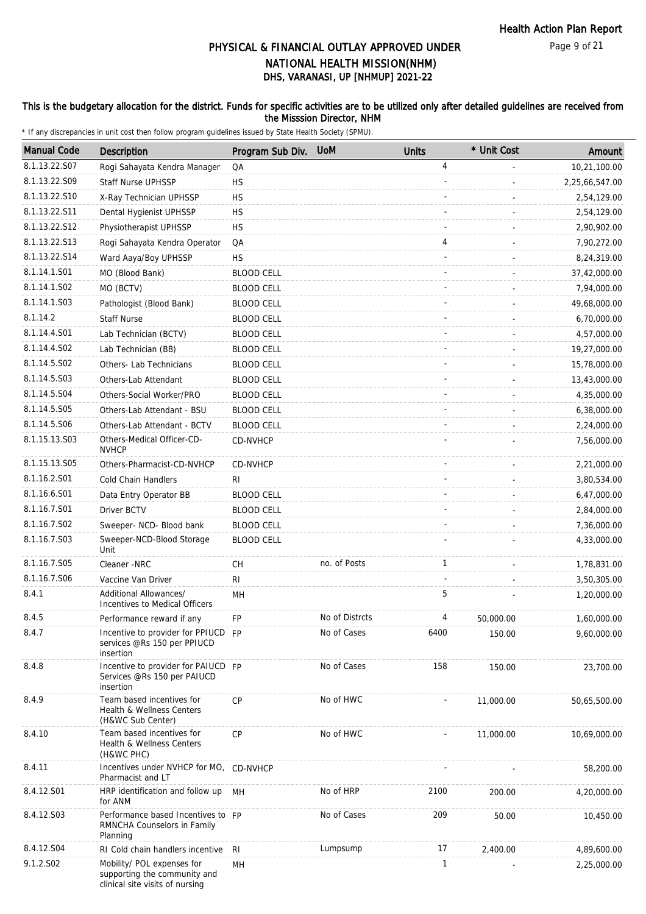#### This is the budgetary allocation for the district. Funds for specific activities are to be utilized only after detailed guidelines are received from the Misssion Director, NHM

| <b>Manual Code</b> | <b>Description</b>                                                                            | Program Sub Div.  | <b>UoM</b>     | <b>Units</b> | * Unit Cost | Amount         |
|--------------------|-----------------------------------------------------------------------------------------------|-------------------|----------------|--------------|-------------|----------------|
| 8.1.13.22.S07      | Rogi Sahayata Kendra Manager                                                                  | QA                |                | 4            |             | 10,21,100.00   |
| 8.1.13.22.S09      | <b>Staff Nurse UPHSSP</b>                                                                     | <b>HS</b>         |                |              |             | 2,25,66,547.00 |
| 8.1.13.22.S10      | X-Ray Technician UPHSSP                                                                       | <b>HS</b>         |                |              |             | 2,54,129.00    |
| 8.1.13.22.S11      | Dental Hygienist UPHSSP                                                                       | <b>HS</b>         |                |              |             | 2,54,129.00    |
| 8.1.13.22.S12      | Physiotherapist UPHSSP                                                                        | <b>HS</b>         |                |              |             | 2,90,902.00    |
| 8.1.13.22.S13      | Rogi Sahayata Kendra Operator                                                                 | QA                |                | 4            |             | 7,90,272.00    |
| 8.1.13.22.S14      | Ward Aaya/Boy UPHSSP                                                                          | <b>HS</b>         |                |              |             | 8,24,319.00    |
| 8.1.14.1.S01       | MO (Blood Bank)                                                                               | <b>BLOOD CELL</b> |                |              |             | 37,42,000.00   |
| 8.1.14.1.S02       | MO (BCTV)                                                                                     | <b>BLOOD CELL</b> |                |              |             | 7,94,000.00    |
| 8.1.14.1.S03       | Pathologist (Blood Bank)                                                                      | <b>BLOOD CELL</b> |                |              |             | 49,68,000.00   |
| 8.1.14.2           | <b>Staff Nurse</b>                                                                            | <b>BLOOD CELL</b> |                |              |             | 6,70,000.00    |
| 8.1.14.4.S01       | Lab Technician (BCTV)                                                                         | <b>BLOOD CELL</b> |                |              |             | 4,57,000.00    |
| 8.1.14.4.S02       | Lab Technician (BB)                                                                           | <b>BLOOD CELL</b> |                |              |             | 19,27,000.00   |
| 8.1.14.5.S02       | Others- Lab Technicians                                                                       | <b>BLOOD CELL</b> |                |              |             | 15,78,000.00   |
| 8.1.14.5.S03       | Others-Lab Attendant                                                                          | <b>BLOOD CELL</b> |                |              |             | 13,43,000.00   |
| 8.1.14.5.S04       |                                                                                               |                   |                |              |             |                |
| 8.1.14.5.S05       | Others-Social Worker/PRO                                                                      | <b>BLOOD CELL</b> |                |              |             | 4,35,000.00    |
|                    | Others-Lab Attendant - BSU                                                                    | <b>BLOOD CELL</b> |                |              |             | 6,38,000.00    |
| 8.1.14.5.S06       | Others-Lab Attendant - BCTV                                                                   | <b>BLOOD CELL</b> |                |              |             | 2,24,000.00    |
| 8.1.15.13.S03      | Others-Medical Officer-CD-<br><b>NVHCP</b>                                                    | CD-NVHCP          |                |              |             | 7,56,000.00    |
| 8.1.15.13.S05      | Others-Pharmacist-CD-NVHCP                                                                    | CD-NVHCP          |                |              |             | 2,21,000.00    |
| 8.1.16.2.S01       | Cold Chain Handlers                                                                           | RI                |                |              |             | 3,80,534.00    |
| 8.1.16.6.S01       | Data Entry Operator BB                                                                        | <b>BLOOD CELL</b> |                |              |             | 6,47,000.00    |
| 8.1.16.7.S01       | Driver BCTV                                                                                   | <b>BLOOD CELL</b> |                |              |             | 2,84,000.00    |
| 8.1.16.7.S02       | Sweeper- NCD- Blood bank                                                                      | <b>BLOOD CELL</b> |                |              |             | 7,36,000.00    |
| 8.1.16.7.S03       | Sweeper-NCD-Blood Storage<br>Unit                                                             | <b>BLOOD CELL</b> |                |              |             | 4,33,000.00    |
| 8.1.16.7.S05       | Cleaner -NRC                                                                                  | CH                | no. of Posts   | $\mathbf{1}$ |             | 1,78,831.00    |
| 8.1.16.7.S06       | Vaccine Van Driver                                                                            | RI.               |                |              |             | 3,50,305.00    |
| 8.4.1              | Additional Allowances/<br>Incentives to Medical Officers                                      | MН                |                | 5            |             | 1,20,000.00    |
| 8.4.5              | Performance reward if any                                                                     | FP                | No of Distrcts | 4            | 50,000.00   | 1,60,000.00    |
| 8.4.7              | Incentive to provider for PPIUCD FP<br>services @Rs 150 per PPIUCD<br>insertion               |                   | No of Cases    | 6400         | 150.00      | 9,60,000.00    |
| 8.4.8              | Incentive to provider for PAIUCD FP<br>Services @Rs 150 per PAIUCD<br>insertion               |                   | No of Cases    | 158          | 150.00      | 23,700.00      |
| 8.4.9              | Team based incentives for<br>Health & Wellness Centers<br>(H&WC Sub Center)                   | CP                | No of HWC      |              | 11,000.00   | 50,65,500.00   |
| 8.4.10             | Team based incentives for<br>Health & Wellness Centers<br>(H&WC PHC)                          | <b>CP</b>         | No of HWC      |              | 11,000.00   | 10,69,000.00   |
| 8.4.11             | Incentives under NVHCP for MO, CD-NVHCP<br>Pharmacist and LT                                  |                   |                |              |             | 58,200.00      |
| 8.4.12.S01         | HRP identification and follow up<br>for ANM                                                   | МH                | No of HRP      | 2100         | 200.00      | 4,20,000.00    |
| 8.4.12.S03         | Performance based Incentives to FP<br>RMNCHA Counselors in Family<br>Planning                 |                   | No of Cases    | 209          | 50.00       | 10,450.00      |
| 8.4.12.S04         | RI Cold chain handlers incentive                                                              | RI                | Lumpsump       | 17           | 2,400.00    | 4,89,600.00    |
| 9.1.2.S02          | Mobility/ POL expenses for<br>supporting the community and<br>clinical site visits of nursing | MН                |                | 1            |             | 2,25,000.00    |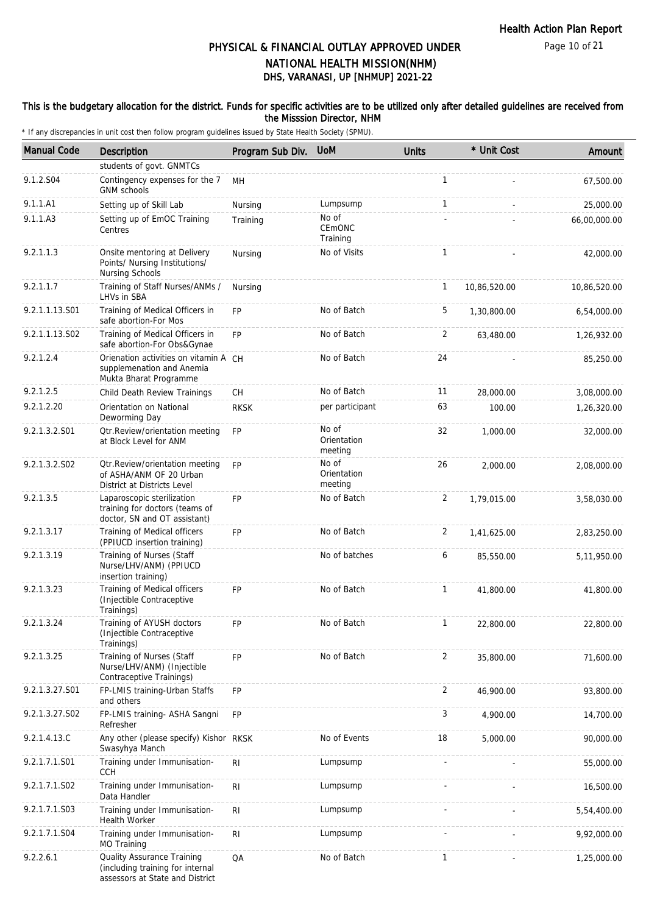Page 10 of 21

# DHS, VARANASI, UP [NHMUP] 2021-22 PHYSICAL & FINANCIAL OUTLAY APPROVED UNDER NATIONAL HEALTH MISSION(NHM)

#### This is the budgetary allocation for the district. Funds for specific activities are to be utilized only after detailed guidelines are received from the Misssion Director, NHM

| <b>Manual Code</b> | <b>Description</b>                                                                                | Program Sub Div. UoM |                                 | <b>Units</b>   | * Unit Cost  | Amount       |
|--------------------|---------------------------------------------------------------------------------------------------|----------------------|---------------------------------|----------------|--------------|--------------|
|                    | students of govt. GNMTCs                                                                          |                      |                                 |                |              |              |
| 9.1.2.S04          | Contingency expenses for the 7<br><b>GNM</b> schools                                              | MН                   |                                 | $\mathbf{1}$   |              | 67,500.00    |
| 9.1.1.A1           | Setting up of Skill Lab                                                                           | Nursing              | Lumpsump                        | $\mathbf{1}$   |              | 25,000.00    |
| 9.1.1.A3           | Setting up of EmOC Training<br>Centres                                                            | Training             | No of<br>CEMONC<br>Training     |                |              | 66,00,000.00 |
| 9.2.1.1.3          | Onsite mentoring at Delivery<br>Points/ Nursing Institutions/<br>Nursing Schools                  | Nursing              | No of Visits                    | $\mathbf{1}$   |              | 42,000.00    |
| 9.2.1.1.7          | Training of Staff Nurses/ANMs /<br>LHVs in SBA                                                    | Nursing              |                                 | 1              | 10,86,520.00 | 10,86,520.00 |
| 9.2.1.1.13.S01     | Training of Medical Officers in<br>safe abortion-For Mos                                          | <b>FP</b>            | No of Batch                     | 5              | 1,30,800.00  | 6,54,000.00  |
| 9.2.1.1.13.S02     | Training of Medical Officers in<br>safe abortion-For Obs&Gynae                                    | <b>FP</b>            | No of Batch                     | 2              | 63,480.00    | 1,26,932.00  |
| 9.2.1.2.4          | Orienation activities on vitamin A CH<br>supplemenation and Anemia<br>Mukta Bharat Programme      |                      | No of Batch                     | 24             |              | 85,250.00    |
| 9.2.1.2.5          | Child Death Review Trainings                                                                      | <b>CH</b>            | No of Batch                     | 11             | 28,000.00    | 3,08,000.00  |
| 9.2.1.2.20         | Orientation on National<br>Deworming Day                                                          | <b>RKSK</b>          | per participant                 | 63             | 100.00       | 1,26,320.00  |
| 9.2.1.3.2.S01      | Otr.Review/orientation meeting<br>at Block Level for ANM                                          | <b>FP</b>            | No of<br>Orientation<br>meeting | 32             | 1,000.00     | 32,000.00    |
| 9.2.1.3.2.S02      | Otr. Review/orientation meeting<br>of ASHA/ANM OF 20 Urban<br>District at Districts Level         | <b>FP</b>            | No of<br>Orientation<br>meeting | 26             | 2,000.00     | 2,08,000.00  |
| 9.2.1.3.5          | Laparoscopic sterilization<br>training for doctors (teams of<br>doctor, SN and OT assistant)      | <b>FP</b>            | No of Batch                     | 2              | 1,79,015.00  | 3,58,030.00  |
| 9.2.1.3.17         | Training of Medical officers<br>(PPIUCD insertion training)                                       | FP                   | No of Batch                     | 2              | 1,41,625.00  | 2,83,250.00  |
| 9.2.1.3.19         | Training of Nurses (Staff<br>Nurse/LHV/ANM) (PPIUCD<br>insertion training)                        |                      | No of batches                   | 6              | 85,550.00    | 5,11,950.00  |
| 9.2.1.3.23         | Training of Medical officers<br>(Injectible Contraceptive<br>Trainings)                           | <b>FP</b>            | No of Batch                     | $\mathbf{1}$   | 41.800.00    | 41,800.00    |
| 9.2.1.3.24         | Training of AYUSH doctors<br>(Injectible Contraceptive<br>Trainings)                              | <b>FP</b>            | No of Batch                     |                | 22,800.00    | 22,800.00    |
| 9.2.1.3.25         | Training of Nurses (Staff<br>Nurse/LHV/ANM) (Injectible<br>Contraceptive Trainings)               | FP                   | No of Batch                     | $\overline{2}$ | 35,800.00    | 71,600.00    |
| 9.2.1.3.27.S01     | FP-LMIS training-Urban Staffs<br>and others                                                       | FP                   |                                 | 2              | 46,900.00    | 93,800.00    |
| 9.2.1.3.27.S02     | FP-LMIS training- ASHA Sangni<br>Refresher                                                        | <b>FP</b>            |                                 | 3              | 4,900.00     | 14,700.00    |
| 9.2.1.4.13.C       | Any other (please specify) Kishor RKSK<br>Swasyhya Manch                                          |                      | No of Events                    | 18             | 5,000.00     | 90,000.00    |
| 9.2.1.7.1.S01      | Training under Immunisation-<br><b>CCH</b>                                                        | RI                   | Lumpsump                        |                |              | 55,000.00    |
| 9.2.1.7.1.S02      | Training under Immunisation-<br>Data Handler                                                      | R <sub>l</sub>       | Lumpsump                        |                |              | 16,500.00    |
| 9.2.1.7.1.S03      | Training under Immunisation-<br>Health Worker                                                     | R <sub>l</sub>       | Lumpsump                        |                |              | 5,54,400.00  |
| 9.2.1.7.1.S04      | Training under Immunisation-<br>MO Training                                                       | <b>RI</b>            | Lumpsump                        |                |              | 9,92,000.00  |
| 9.2.2.6.1          | Quality Assurance Training<br>(including training for internal<br>assessors at State and District | QA                   | No of Batch                     | $\mathbf{1}$   |              | 1,25,000.00  |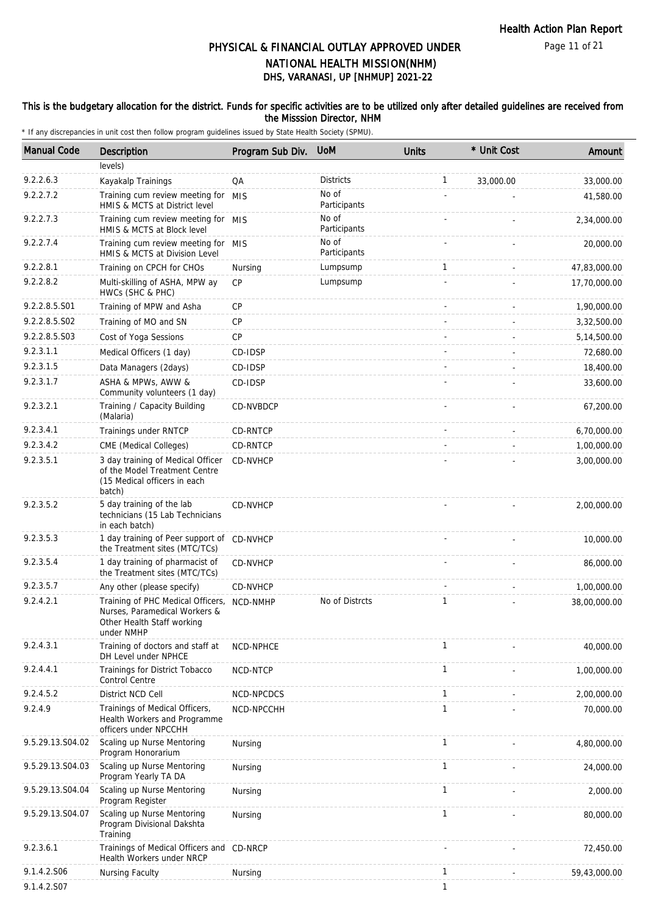#### This is the budgetary allocation for the district. Funds for specific activities are to be utilized only after detailed guidelines are received from the Misssion Director, NHM

| <b>Manual Code</b> | <b>Description</b>                                                                                             | Program Sub Div. | <b>UoM</b>            | <b>Units</b> | * Unit Cost | Amount       |
|--------------------|----------------------------------------------------------------------------------------------------------------|------------------|-----------------------|--------------|-------------|--------------|
|                    | levels)                                                                                                        |                  |                       |              |             |              |
| 9.2.2.6.3          | Kayakalp Trainings                                                                                             | QA               | <b>Districts</b>      | $\mathbf{1}$ | 33,000.00   | 33,000.00    |
| 9.2.2.7.2          | Training cum review meeting for MIS<br>HMIS & MCTS at District level                                           |                  | No of<br>Participants |              |             | 41,580.00    |
| 9.2.2.7.3          | Training cum review meeting for MIS<br>HMIS & MCTS at Block level                                              |                  | No of<br>Participants |              |             | 2,34,000.00  |
| 9.2.2.7.4          | Training cum review meeting for MIS<br>HMIS & MCTS at Division Level                                           |                  | No of<br>Participants |              |             | 20,000.00    |
| 9.2.2.8.1          | Training on CPCH for CHOs                                                                                      | Nursing          | Lumpsump              | $\mathbf{1}$ |             | 47,83,000.00 |
| 9.2.2.8.2          | Multi-skilling of ASHA, MPW ay<br>HWCs (SHC & PHC)                                                             | <b>CP</b>        | Lumpsump              |              |             | 17,70,000.00 |
| 9.2.2.8.5.S01      | Training of MPW and Asha                                                                                       | <b>CP</b>        |                       |              |             | 1,90,000.00  |
| 9.2.2.8.5.S02      | Training of MO and SN                                                                                          | <b>CP</b>        |                       |              |             | 3,32,500.00  |
| 9.2.2.8.5.S03      | Cost of Yoga Sessions                                                                                          | <b>CP</b>        |                       |              |             | 5,14,500.00  |
| 9.2.3.1.1          | Medical Officers (1 day)                                                                                       | CD-IDSP          |                       |              |             | 72,680.00    |
| 9.2.3.1.5          | Data Managers (2days)                                                                                          | CD-IDSP          |                       |              |             | 18,400.00    |
| 9.2.3.1.7          | ASHA & MPWs, AWW &<br>Community volunteers (1 day)                                                             | CD-IDSP          |                       |              |             | 33,600.00    |
| 9.2.3.2.1          | Training / Capacity Building<br>(Malaria)                                                                      | CD-NVBDCP        |                       |              |             | 67,200.00    |
| 9.2.3.4.1          | Trainings under RNTCP                                                                                          | CD-RNTCP         |                       |              |             | 6,70,000.00  |
| 9.2.3.4.2          | CME (Medical Colleges)                                                                                         | <b>CD-RNTCP</b>  |                       |              |             | 1,00,000.00  |
| 9.2.3.5.1          | 3 day training of Medical Officer<br>of the Model Treatment Centre<br>(15 Medical officers in each<br>batch)   | CD-NVHCP         |                       |              |             | 3,00,000.00  |
| 9.2.3.5.2          | 5 day training of the lab<br>technicians (15 Lab Technicians<br>in each batch)                                 | CD-NVHCP         |                       |              |             | 2,00,000.00  |
| 9.2.3.5.3          | 1 day training of Peer support of CD-NVHCP<br>the Treatment sites (MTC/TCs)                                    |                  |                       |              |             | 10,000.00    |
| 9.2.3.5.4          | 1 day training of pharmacist of<br>the Treatment sites (MTC/TCs)                                               | CD-NVHCP         |                       |              |             | 86,000.00    |
| 9.2.3.5.7          | Any other (please specify)                                                                                     | CD-NVHCP         |                       | $\sim$       |             | 1,00,000.00  |
| 9.2.4.2.1          | Training of PHC Medical Officers,<br>Nurses, Paramedical Workers &<br>Other Health Staff working<br>under NMHP | NCD-NMHP         | No of Distrcts        | $\mathbf{1}$ |             | 38,00,000.00 |
| 9.2.4.3.1          | Training of doctors and staff at<br>DH Level under NPHCE                                                       | NCD-NPHCE        |                       | 1            |             | 40,000.00    |
| 9.2.4.4.1          | Trainings for District Tobacco<br><b>Control Centre</b>                                                        | NCD-NTCP         |                       | 1            |             | 1,00,000.00  |
| 9.2.4.5.2          | District NCD Cell                                                                                              | NCD-NPCDCS       |                       | $\mathbf{1}$ |             | 2,00,000.00  |
| 9.2.4.9            | Trainings of Medical Officers,<br>Health Workers and Programme<br>officers under NPCCHH                        | NCD-NPCCHH       |                       | 1            |             | 70,000.00    |
| 9.5.29.13.S04.02   | Scaling up Nurse Mentoring<br>Program Honorarium                                                               | Nursing          |                       | $\mathbf{1}$ |             | 4,80,000.00  |
| 9.5.29.13.S04.03   | Scaling up Nurse Mentoring<br>Program Yearly TA DA                                                             | Nursing          |                       | $\mathbf{1}$ |             | 24,000.00    |
| 9.5.29.13.S04.04   | Scaling up Nurse Mentoring<br>Program Register                                                                 | Nursing          |                       | $\mathbf{1}$ |             | 2,000.00     |
| 9.5.29.13.S04.07   | Scaling up Nurse Mentoring<br>Program Divisional Dakshta<br>Training                                           | Nursing          |                       | 1            |             | 80,000.00    |
| 9.2.3.6.1          | Trainings of Medical Officers and CD-NRCP<br>Health Workers under NRCP                                         |                  |                       |              |             | 72,450.00    |
| 9.1.4.2.S06        | Nursing Faculty                                                                                                | Nursing          |                       | 1            |             | 59,43,000.00 |
| 9.1.4.2.S07        |                                                                                                                |                  |                       | $\mathbf{1}$ |             |              |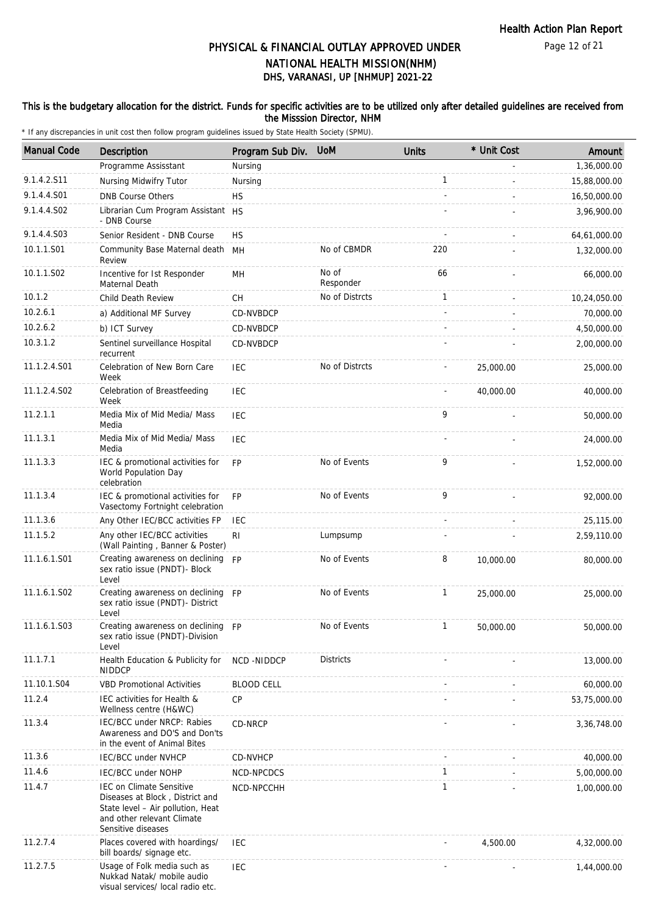Page 12 of 21

# DHS, VARANASI, UP [NHMUP] 2021-22 PHYSICAL & FINANCIAL OUTLAY APPROVED UNDER NATIONAL HEALTH MISSION(NHM)

#### This is the budgetary allocation for the district. Funds for specific activities are to be utilized only after detailed guidelines are received from the Misssion Director, NHM

| <b>Manual Code</b> | Description                                                                                                                                          | Program Sub Div. UoM |                    | <b>Units</b> | * Unit Cost | Amount       |
|--------------------|------------------------------------------------------------------------------------------------------------------------------------------------------|----------------------|--------------------|--------------|-------------|--------------|
|                    | Programme Assisstant                                                                                                                                 | Nursing              |                    |              |             | 1,36,000.00  |
| 9.1.4.2.S11        | Nursing Midwifry Tutor                                                                                                                               | Nursing              |                    | $\mathbf{1}$ |             | 15,88,000.00 |
| 9.1.4.4.S01        | <b>DNB Course Others</b>                                                                                                                             | <b>HS</b>            |                    |              |             | 16,50,000.00 |
| 9.1.4.4.S02        | Librarian Cum Program Assistant HS<br>- DNB Course                                                                                                   |                      |                    |              |             | 3,96,900.00  |
| 9.1.4.4.S03        | Senior Resident - DNB Course                                                                                                                         | <b>HS</b>            |                    |              |             | 64,61,000.00 |
| 10.1.1.S01         | Community Base Maternal death MH<br>Review                                                                                                           |                      | No of CBMDR        | 220          |             | 1,32,000.00  |
| 10.1.1.S02         | Incentive for Ist Responder<br>Maternal Death                                                                                                        | MН                   | No of<br>Responder | 66           |             | 66,000.00    |
| 10.1.2             | Child Death Review                                                                                                                                   | СH                   | No of Distrcts     | $\mathbf{1}$ |             | 10,24,050.00 |
| 10.2.6.1           | a) Additional MF Survey                                                                                                                              | CD-NVBDCP            |                    |              |             | 70,000.00    |
| 10.2.6.2           | b) ICT Survey                                                                                                                                        | CD-NVBDCP            |                    |              |             | 4,50,000.00  |
| 10.3.1.2           | Sentinel surveillance Hospital<br>recurrent                                                                                                          | CD-NVBDCP            |                    |              |             | 2,00,000.00  |
| 11.1.2.4.S01       | Celebration of New Born Care<br>Week                                                                                                                 | IEC                  | No of Distrcts     |              | 25,000.00   | 25,000.00    |
| 11.1.2.4.S02       | Celebration of Breastfeeding<br>Week                                                                                                                 | <b>IEC</b>           |                    |              | 40,000.00   | 40,000.00    |
| 11.2.1.1           | Media Mix of Mid Media/ Mass<br>Media                                                                                                                | <b>IEC</b>           |                    | 9            |             | 50,000.00    |
| 11.1.3.1           | Media Mix of Mid Media/ Mass<br>Media                                                                                                                | <b>IEC</b>           |                    |              |             | 24,000.00    |
| 11.1.3.3           | IEC & promotional activities for<br>World Population Day<br>celebration                                                                              | <b>FP</b>            | No of Events       | 9            |             | 1,52,000.00  |
| 11.1.3.4           | IEC & promotional activities for<br>Vasectomy Fortnight celebration                                                                                  | <b>FP</b>            | No of Events       | 9            |             | 92,000.00    |
| 11.1.3.6           | Any Other IEC/BCC activities FP                                                                                                                      | IEC                  |                    |              |             | 25,115.00    |
| 11.1.5.2           | Any other IEC/BCC activities<br>(Wall Painting, Banner & Poster)                                                                                     | R <sub>l</sub>       | Lumpsump           |              |             | 2,59,110.00  |
| 11.1.6.1.S01       | Creating awareness on declining FP<br>sex ratio issue (PNDT)- Block<br>Level                                                                         |                      | No of Events       | 8            | 10,000.00   | 80,000.00    |
| 11.1.6.1.S02       | Creating awareness on declining FP<br>sex ratio issue (PNDT)- District<br>Level                                                                      |                      | No of Events       | $\mathbf{1}$ | 25,000.00   | 25,000.00    |
| 11.1.6.1.S03       | Creating awareness on declining FP<br>sex ratio issue (PNDT)-Division<br>Level                                                                       |                      | No of Events       | 1            | 50,000.00   | 50,000.00    |
| 11.1.7.1           | Health Education & Publicity for<br><b>NIDDCP</b>                                                                                                    | NCD-NIDDCP           | <b>Districts</b>   |              |             | 13,000.00    |
| 11.10.1.S04        | <b>VBD Promotional Activities</b>                                                                                                                    | <b>BLOOD CELL</b>    |                    |              |             | 60,000.00    |
| 11.2.4             | IEC activities for Health &<br>Wellness centre (H&WC)                                                                                                | <b>CP</b>            |                    |              |             | 53,75,000.00 |
| 11.3.4             | IEC/BCC under NRCP: Rabies<br>Awareness and DO'S and Don'ts<br>in the event of Animal Bites                                                          | CD-NRCP              |                    |              |             | 3,36,748.00  |
| 11.3.6             | <b>IEC/BCC under NVHCP</b>                                                                                                                           | CD-NVHCP             |                    |              |             | 40,000.00    |
| 11.4.6             | IEC/BCC under NOHP                                                                                                                                   | NCD-NPCDCS           |                    | $\mathbf{1}$ |             | 5,00,000.00  |
| 11.4.7             | IEC on Climate Sensitive<br>Diseases at Block, District and<br>State level - Air pollution, Heat<br>and other relevant Climate<br>Sensitive diseases | NCD-NPCCHH           |                    | 1            |             | 1,00,000.00  |
| 11.2.7.4           | Places covered with hoardings/<br>bill boards/ signage etc.                                                                                          | IEC                  |                    |              | 4,500.00    | 4,32,000.00  |
| 11.2.7.5           | Usage of Folk media such as<br>Nukkad Natak/ mobile audio<br>visual services/ local radio etc.                                                       | <b>IEC</b>           |                    |              |             | 1,44,000.00  |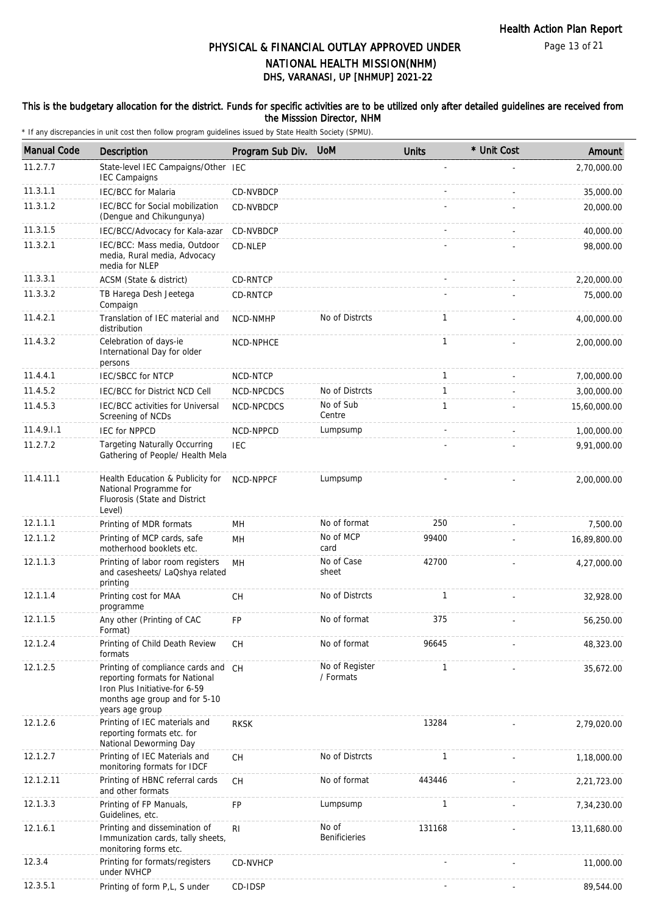#### This is the budgetary allocation for the district. Funds for specific activities are to be utilized only after detailed guidelines are received from the Misssion Director, NHM

| <b>Manual Code</b> | <b>Description</b>                                                                                                                                         | Program Sub Div. | <b>UoM</b>                    | <b>Units</b> | * Unit Cost              | Amount       |
|--------------------|------------------------------------------------------------------------------------------------------------------------------------------------------------|------------------|-------------------------------|--------------|--------------------------|--------------|
| 11.2.7.7           | State-level IEC Campaigns/Other<br><b>IEC Campaigns</b>                                                                                                    | <b>IEC</b>       |                               |              |                          | 2,70,000.00  |
| 11.3.1.1           | <b>IEC/BCC</b> for Malaria                                                                                                                                 | CD-NVBDCP        |                               |              |                          | 35,000.00    |
| 11.3.1.2           | <b>IEC/BCC for Social mobilization</b><br>(Dengue and Chikungunya)                                                                                         | CD-NVBDCP        |                               |              |                          | 20,000.00    |
| 11.3.1.5           | IEC/BCC/Advocacy for Kala-azar                                                                                                                             | CD-NVBDCP        |                               |              |                          | 40,000.00    |
| 11.3.2.1           | IEC/BCC: Mass media, Outdoor<br>media, Rural media, Advocacy<br>media for NLEP                                                                             | CD-NLEP          |                               |              |                          | 98,000.00    |
| 11.3.3.1           | ACSM (State & district)                                                                                                                                    | CD-RNTCP         |                               |              |                          | 2,20,000.00  |
| 11.3.3.2           | TB Harega Desh Jeetega<br>Compaign                                                                                                                         | CD-RNTCP         |                               |              |                          | 75,000.00    |
| 11.4.2.1           | Translation of IEC material and<br>distribution                                                                                                            | <b>NCD-NMHP</b>  | No of Distrcts                | 1            |                          | 4,00,000.00  |
| 11.4.3.2           | Celebration of days-ie<br>International Day for older<br>persons                                                                                           | NCD-NPHCE        |                               | $\mathbf{1}$ |                          | 2,00,000.00  |
| 11.4.4.1           | <b>IEC/SBCC for NTCP</b>                                                                                                                                   | NCD-NTCP         |                               | $\mathbf{1}$ |                          | 7,00,000.00  |
| 11.4.5.2           | <b>IEC/BCC for District NCD Cell</b>                                                                                                                       | NCD-NPCDCS       | No of Distrcts                | 1            |                          | 3,00,000.00  |
| 11.4.5.3           | IEC/BCC activities for Universal<br>Screening of NCDs                                                                                                      | NCD-NPCDCS       | No of Sub<br>Centre           | $\mathbf{1}$ |                          | 15,60,000.00 |
| 11.4.9.1.1         | <b>IEC for NPPCD</b>                                                                                                                                       | NCD-NPPCD        | Lumpsump                      |              |                          | 1,00,000.00  |
| 11.2.7.2           | <b>Targeting Naturally Occurring</b><br>Gathering of People/ Health Mela                                                                                   | <b>IEC</b>       |                               |              |                          | 9,91,000.00  |
| 11.4.11.1          | Health Education & Publicity for<br>National Programme for<br>Fluorosis (State and District<br>Level)                                                      | <b>NCD-NPPCF</b> | Lumpsump                      |              |                          | 2,00,000.00  |
| 12.1.1.1           | Printing of MDR formats                                                                                                                                    | MH               | No of format                  | 250          |                          | 7,500.00     |
| 12.1.1.2           | Printing of MCP cards, safe<br>motherhood booklets etc.                                                                                                    | MН               | No of MCP<br>card             | 99400        |                          | 16,89,800.00 |
| 12.1.1.3           | Printing of labor room registers<br>and casesheets/ LaQshya related<br>printing                                                                            | MH               | No of Case<br>sheet           | 42700        |                          | 4,27,000.00  |
| 12.1.1.4           | Printing cost for MAA<br>programme                                                                                                                         | <b>CH</b>        | No of Distrcts                | $\mathbf{1}$ |                          | 32,928.00    |
| 12.1.1.5           | Any other (Printing of CAC<br>Format)                                                                                                                      | <b>FP</b>        | No of format                  | 375          |                          | 56,250.00    |
| 12.1.2.4           | Printing of Child Death Review<br>formats                                                                                                                  | CH               | No of format                  | 96645        |                          | 48,323.00    |
| 12.1.2.5           | Printing of compliance cards and CH<br>reporting formats for National<br>Iron Plus Initiative-for 6-59<br>months age group and for 5-10<br>years age group |                  | No of Register<br>/ Formats   | $\mathbf{1}$ |                          | 35,672.00    |
| 12.1.2.6           | Printing of IEC materials and<br>reporting formats etc. for<br>National Deworming Day                                                                      | <b>RKSK</b>      |                               | 13284        |                          | 2,79,020.00  |
| 12.1.2.7           | Printing of IEC Materials and<br>monitoring formats for IDCF                                                                                               | СH               | No of Distrcts                | $\mathbf{1}$ |                          | 1,18,000.00  |
| 12.1.2.11          | Printing of HBNC referral cards<br>and other formats                                                                                                       | CH               | No of format                  | 443446       |                          | 2,21,723.00  |
| 12.1.3.3           | Printing of FP Manuals,<br>Guidelines, etc.                                                                                                                | FP               | Lumpsump                      | $\mathbf{1}$ |                          | 7,34,230.00  |
| 12.1.6.1           | Printing and dissemination of<br>Immunization cards, tally sheets,<br>monitoring forms etc.                                                                | RI               | No of<br><b>Benificieries</b> | 131168       |                          | 13,11,680.00 |
| 12.3.4             | Printing for formats/registers<br>under NVHCP                                                                                                              | CD-NVHCP         |                               |              |                          | 11,000.00    |
| 12.3.5.1           | Printing of form P,L, S under                                                                                                                              | CD-IDSP          |                               |              | $\overline{\phantom{a}}$ | 89,544.00    |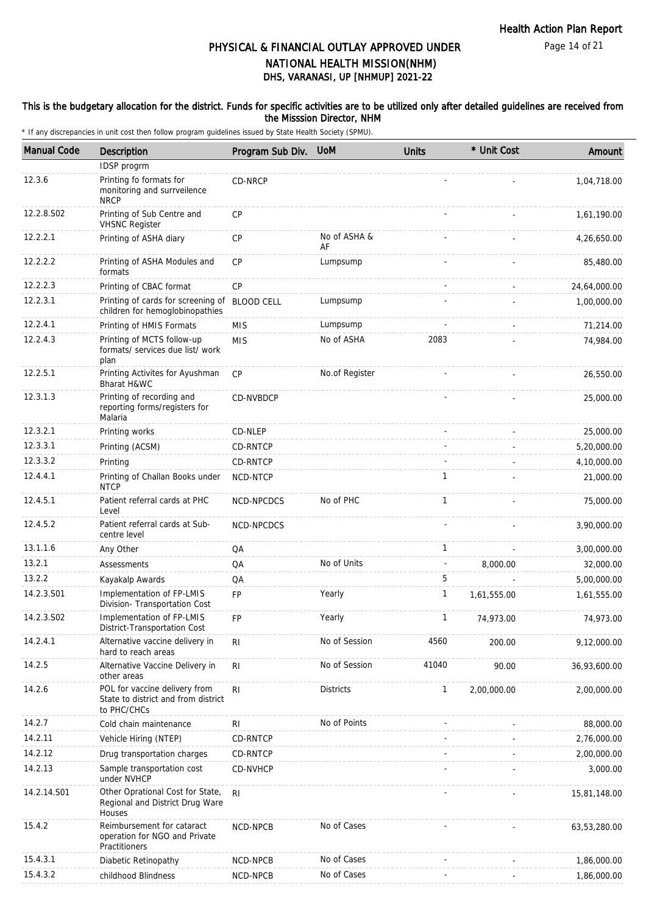Page 14 of 21

## DHS, VARANASI, UP [NHMUP] 2021-22 PHYSICAL & FINANCIAL OUTLAY APPROVED UNDER NATIONAL HEALTH MISSION(NHM)

#### This is the budgetary allocation for the district. Funds for specific activities are to be utilized only after detailed guidelines are received from the Misssion Director, NHM

| <b>Manual Code</b> | Description                                                                         | Program Sub Div.  | <b>UoM</b>         | <b>Units</b>   | * Unit Cost | Amount       |
|--------------------|-------------------------------------------------------------------------------------|-------------------|--------------------|----------------|-------------|--------------|
|                    | IDSP progrm                                                                         |                   |                    |                |             |              |
| 12.3.6             | Printing fo formats for<br>monitoring and surrveilence<br><b>NRCP</b>               | CD-NRCP           |                    |                |             | 1,04,718.00  |
| 12.2.8.S02         | Printing of Sub Centre and<br><b>VHSNC Register</b>                                 | <b>CP</b>         |                    |                |             | 1,61,190.00  |
| 12.2.2.1           | Printing of ASHA diary                                                              | CP                | No of ASHA &<br>AF |                |             | 4,26,650.00  |
| 12.2.2.2           | Printing of ASHA Modules and<br>formats                                             | <b>CP</b>         | Lumpsump           |                |             | 85,480.00    |
| 12.2.2.3           | Printing of CBAC format                                                             | СP                |                    |                |             | 24,64,000.00 |
| 12.2.3.1           | Printing of cards for screening of<br>children for hemoglobinopathies               | <b>BLOOD CELL</b> | Lumpsump           |                |             | 1,00,000.00  |
| 12.2.4.1           | Printing of HMIS Formats                                                            | <b>MIS</b>        | Lumpsump           |                |             | 71,214.00    |
| 12.2.4.3           | Printing of MCTS follow-up<br>formats/ services due list/ work<br>plan              | <b>MIS</b>        | No of ASHA         | 2083           |             | 74,984.00    |
| 12.2.5.1           | Printing Activites for Ayushman<br>Bharat H&WC                                      | CP                | No.of Register     |                |             | 26,550.00    |
| 12.3.1.3           | Printing of recording and<br>reporting forms/registers for<br>Malaria               | CD-NVBDCP         |                    |                |             | 25,000.00    |
| 12.3.2.1           | Printing works                                                                      | CD-NLEP           |                    |                |             | 25,000.00    |
| 12.3.3.1           | Printing (ACSM)                                                                     | CD-RNTCP          |                    |                |             | 5,20,000.00  |
| 12.3.3.2           | Printing                                                                            | CD-RNTCP          |                    |                |             | 4,10,000.00  |
| 12.4.4.1           | Printing of Challan Books under<br><b>NTCP</b>                                      | NCD-NTCP          |                    | $\overline{1}$ |             | 21,000.00    |
| 12.4.5.1           | Patient referral cards at PHC<br>Level                                              | NCD-NPCDCS        | No of PHC          | 1              |             | 75,000.00    |
| 12.4.5.2           | Patient referral cards at Sub-<br>centre level                                      | NCD-NPCDCS        |                    |                |             | 3,90,000.00  |
| 13.1.1.6           | Any Other                                                                           | QA                |                    | $\mathbf{1}$   |             | 3,00,000.00  |
| 13.2.1             | Assessments                                                                         | QA                | No of Units        |                | 8,000.00    | 32,000.00    |
| 13.2.2             | Kayakalp Awards                                                                     | QA                |                    | 5              |             | 5,00,000.00  |
| 14.2.3.S01         | Implementation of FP-LMIS<br>Division- Transportation Cost                          | FP                | Yearly             | $\mathbf{1}$   | 1,61,555.00 | 1,61,555.00  |
| 14.2.3.S02         | Implementation of FP-LMIS<br>District-Transportation Cost                           | FP                | Yearly             | 1              | 74,973.00   | 74,973.00    |
| 14.2.4.1           | Alternative vaccine delivery in<br>hard to reach areas                              | R <sub>l</sub>    | No of Session      | 4560           | 200.00      | 9,12,000.00  |
| 14.2.5             | Alternative Vaccine Delivery in<br>other areas                                      | R <sub>1</sub>    | No of Session      | 41040          | 90.00       | 36,93,600.00 |
| 14.2.6             | POL for vaccine delivery from<br>State to district and from district<br>to PHC/CHCs | R <sub>1</sub>    | <b>Districts</b>   | $\mathbf{1}$   | 2,00,000.00 | 2,00,000.00  |
| 14.2.7             | Cold chain maintenance                                                              | RI                | No of Points       |                |             | 88,000.00    |
| 14.2.11            | Vehicle Hiring (NTEP)                                                               | CD-RNTCP          |                    |                |             | 2,76,000.00  |
| 14.2.12            | Drug transportation charges                                                         | CD-RNTCP          |                    |                |             | 2,00,000.00  |
| 14.2.13            | Sample transportation cost<br>under NVHCP                                           | CD-NVHCP          |                    |                |             | 3,000.00     |
| 14.2.14.S01        | Other Oprational Cost for State,<br>Regional and District Drug Ware<br>Houses       | R <sub>l</sub>    |                    |                |             | 15,81,148.00 |
| 15.4.2             | Reimbursement for cataract<br>operation for NGO and Private<br>Practitioners        | NCD-NPCB          | No of Cases        |                |             | 63,53,280.00 |
| 15.4.3.1           | Diabetic Retinopathy                                                                | NCD-NPCB          | No of Cases        |                |             | 1,86,000.00  |
| 15.4.3.2           | childhood Blindness                                                                 | NCD-NPCB          | No of Cases        |                |             | 1,86,000.00  |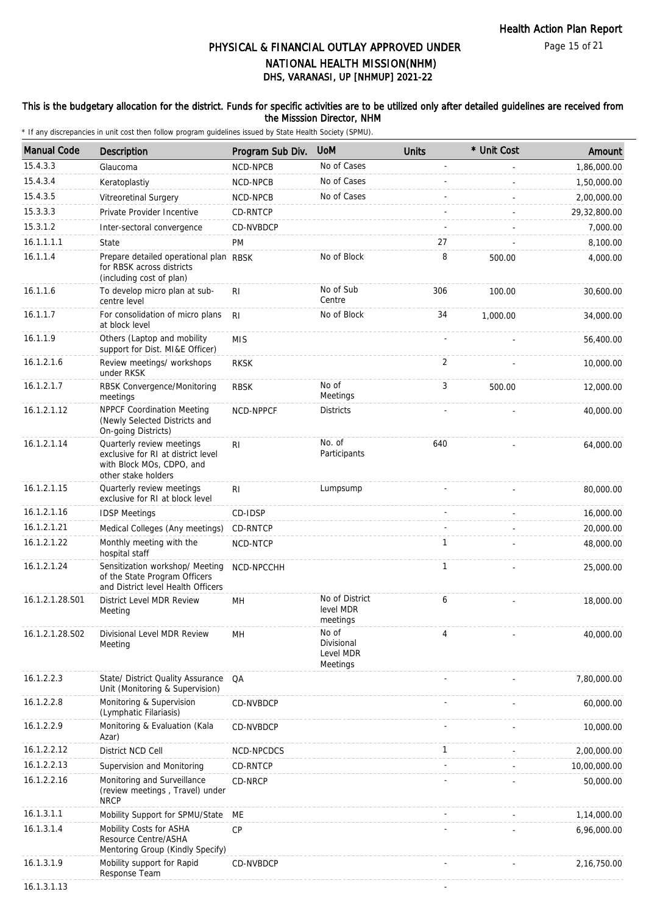#### This is the budgetary allocation for the district. Funds for specific activities are to be utilized only after detailed guidelines are received from the Misssion Director, NHM

| <b>Manual Code</b> | <b>Description</b>                                                                                                  | Program Sub Div. | <b>UoM</b>                                   | <b>Units</b>   | * Unit Cost | Amount       |
|--------------------|---------------------------------------------------------------------------------------------------------------------|------------------|----------------------------------------------|----------------|-------------|--------------|
| 15.4.3.3           | Glaucoma                                                                                                            | NCD-NPCB         | No of Cases                                  | $\overline{a}$ |             | 1,86,000.00  |
| 15.4.3.4           | Keratoplastiy                                                                                                       | NCD-NPCB         | No of Cases                                  |                |             | 1,50,000.00  |
| 15.4.3.5           | Vitreoretinal Surgery                                                                                               | NCD-NPCB         | No of Cases                                  |                |             | 2,00,000.00  |
| 15.3.3.3           | Private Provider Incentive                                                                                          | CD-RNTCP         |                                              |                |             | 29,32,800.00 |
| 15.3.1.2           | Inter-sectoral convergence                                                                                          | CD-NVBDCP        |                                              |                |             | 7,000.00     |
| 16.1.1.1.1         | State                                                                                                               | <b>PM</b>        |                                              | 27             |             | 8,100.00     |
| 16.1.1.4           | Prepare detailed operational plan RBSK<br>for RBSK across districts<br>(including cost of plan)                     |                  | No of Block                                  | 8              | 500.00      | 4,000.00     |
| 16.1.1.6           | To develop micro plan at sub-<br>centre level                                                                       | R <sub>l</sub>   | No of Sub<br>Centre                          | 306            | 100.00      | 30,600.00    |
| 16.1.1.7           | For consolidation of micro plans<br>at block level                                                                  | <b>RI</b>        | No of Block                                  | 34             | 1,000.00    | 34,000.00    |
| 16.1.1.9           | Others (Laptop and mobility<br>support for Dist. MI&E Officer)                                                      | <b>MIS</b>       |                                              |                |             | 56,400.00    |
| 16.1.2.1.6         | Review meetings/ workshops<br>under RKSK                                                                            | <b>RKSK</b>      |                                              | 2              |             | 10,000.00    |
| 16.1.2.1.7         | RBSK Convergence/Monitoring<br>meetings                                                                             | <b>RBSK</b>      | No of<br>Meetings                            | 3              | 500.00      | 12,000.00    |
| 16.1.2.1.12        | <b>NPPCF Coordination Meeting</b><br>(Newly Selected Districts and<br>On-going Districts)                           | <b>NCD-NPPCF</b> | <b>Districts</b>                             |                |             | 40,000.00    |
| 16.1.2.1.14        | Quarterly review meetings<br>exclusive for RI at district level<br>with Block MOs, CDPO, and<br>other stake holders | R <sub>l</sub>   | No. of<br>Participants                       | 640            |             | 64,000.00    |
| 16.1.2.1.15        | Quarterly review meetings<br>exclusive for RI at block level                                                        | R <sub>l</sub>   | Lumpsump                                     |                |             | 80,000.00    |
| 16.1.2.1.16        | <b>IDSP Meetings</b>                                                                                                | CD-IDSP          |                                              |                |             | 16,000.00    |
| 16.1.2.1.21        | Medical Colleges (Any meetings)                                                                                     | CD-RNTCP         |                                              |                |             | 20,000.00    |
| 16.1.2.1.22        | Monthly meeting with the<br>hospital staff                                                                          | NCD-NTCP         |                                              | 1              |             | 48,000.00    |
| 16.1.2.1.24        | Sensitization workshop/ Meeting<br>of the State Program Officers<br>and District level Health Officers              | NCD-NPCCHH       |                                              | $\mathbf{1}$   |             | 25,000.00    |
| 16.1.2.1.28.S01    | District Level MDR Review<br>Meeting                                                                                | MH               | No of District<br>level MDR<br>meetings      | 6              |             | 18,000.00    |
| 16.1.2.1.28.S02    | Divisional Level MDR Review<br>Meeting                                                                              | MH               | No of<br>Divisional<br>Level MDR<br>Meetings | 4              |             | 40,000.00    |
| 16.1.2.2.3         | State/ District Quality Assurance<br>Unit (Monitoring & Supervision)                                                | QA               |                                              |                |             | 7,80,000.00  |
| 16.1.2.2.8         | Monitoring & Supervision<br>(Lymphatic Filariasis)                                                                  | CD-NVBDCP        |                                              |                |             | 60,000.00    |
| 16.1.2.2.9         | Monitoring & Evaluation (Kala<br>Azar)                                                                              | CD-NVBDCP        |                                              |                |             | 10,000.00    |
| 16.1.2.2.12        | District NCD Cell                                                                                                   | NCD-NPCDCS       |                                              | 1              |             | 2,00,000.00  |
| 16.1.2.2.13        | Supervision and Monitoring                                                                                          | CD-RNTCP         |                                              |                |             | 10,00,000.00 |
| 16.1.2.2.16        | Monitoring and Surveillance<br>(review meetings, Travel) under<br><b>NRCP</b>                                       | CD-NRCP          |                                              |                |             | 50,000.00    |
| 16.1.3.1.1         | Mobility Support for SPMU/State                                                                                     | МE               |                                              |                |             | 1,14,000.00  |
| 16.1.3.1.4         | Mobility Costs for ASHA<br>Resource Centre/ASHA<br>Mentoring Group (Kindly Specify)                                 | CP               |                                              |                |             | 6,96,000.00  |
| 16.1.3.1.9         | Mobility support for Rapid<br>Response Team                                                                         | CD-NVBDCP        |                                              |                |             | 2,16,750.00  |
| 16.1.3.1.13        |                                                                                                                     |                  |                                              |                |             |              |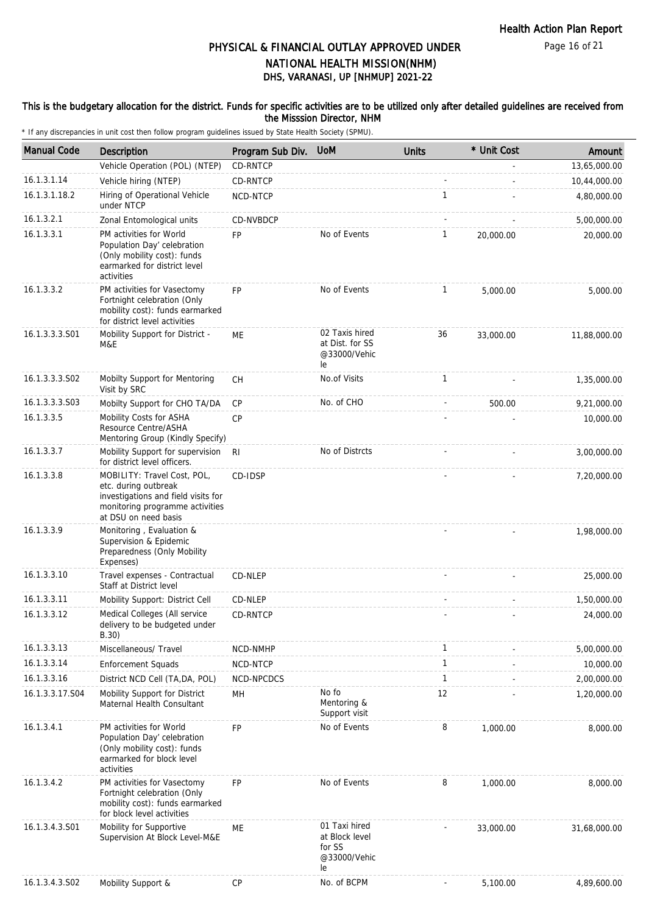Page 16 of 21

# DHS, VARANASI, UP [NHMUP] 2021-22 PHYSICAL & FINANCIAL OUTLAY APPROVED UNDER NATIONAL HEALTH MISSION(NHM)

#### This is the budgetary allocation for the district. Funds for specific activities are to be utilized only after detailed guidelines are received from the Misssion Director, NHM

| <b>Manual Code</b> | Description                                                                                                                                           | Program Sub Div. UoM |                                                                 | <b>Units</b> | * Unit Cost | Amount       |
|--------------------|-------------------------------------------------------------------------------------------------------------------------------------------------------|----------------------|-----------------------------------------------------------------|--------------|-------------|--------------|
|                    | Vehicle Operation (POL) (NTEP)                                                                                                                        | CD-RNTCP             |                                                                 |              |             | 13,65,000.00 |
| 16.1.3.1.14        | Vehicle hiring (NTEP)                                                                                                                                 | CD-RNTCP             |                                                                 |              |             | 10,44,000.00 |
| 16.1.3.1.18.2      | Hiring of Operational Vehicle<br>under NTCP                                                                                                           | NCD-NTCP             |                                                                 | $\mathbf{1}$ |             | 4,80,000.00  |
| 16.1.3.2.1         | Zonal Entomological units                                                                                                                             | CD-NVBDCP            |                                                                 |              |             | 5,00,000.00  |
| 16.1.3.3.1         | PM activities for World<br>Population Day' celebration<br>(Only mobility cost): funds<br>earmarked for district level<br>activities                   | <b>FP</b>            | No of Events                                                    | $\mathbf{1}$ | 20,000.00   | 20,000.00    |
| 16.1.3.3.2         | PM activities for Vasectomy<br>Fortnight celebration (Only<br>mobility cost): funds earmarked<br>for district level activities                        | <b>FP</b>            | No of Events                                                    | $\mathbf{1}$ | 5,000.00    | 5,000.00     |
| 16.1.3.3.3.S01     | Mobility Support for District -<br>M&E                                                                                                                | ME                   | 02 Taxis hired<br>at Dist. for SS<br>@33000/Vehic<br>le         | 36           | 33,000.00   | 11,88,000.00 |
| 16.1.3.3.3.S02     | Mobilty Support for Mentoring<br>Visit by SRC                                                                                                         | CH                   | No.of Visits                                                    | 1            |             | 1,35,000.00  |
| 16.1.3.3.3.S03     | Mobilty Support for CHO TA/DA                                                                                                                         | CP                   | No. of CHO                                                      |              | 500.00      | 9,21,000.00  |
| 16.1.3.3.5         | Mobility Costs for ASHA<br>Resource Centre/ASHA<br>Mentoring Group (Kindly Specify)                                                                   | <b>CP</b>            |                                                                 |              |             | 10,000.00    |
| 16.1.3.3.7         | Mobility Support for supervision<br>for district level officers.                                                                                      | R <sub>l</sub>       | No of Distrcts                                                  |              |             | 3,00,000.00  |
| 16.1.3.3.8         | MOBILITY: Travel Cost, POL,<br>etc. during outbreak<br>investigations and field visits for<br>monitoring programme activities<br>at DSU on need basis | CD-IDSP              |                                                                 |              |             | 7,20,000.00  |
| 16.1.3.3.9         | Monitoring, Evaluation &<br>Supervision & Epidemic<br>Preparedness (Only Mobility<br>Expenses)                                                        |                      |                                                                 |              |             | 1,98,000.00  |
| 16.1.3.3.10        | Travel expenses - Contractual<br>Staff at District level                                                                                              | CD-NLEP              |                                                                 |              |             | 25,000.00    |
| 16.1.3.3.11        | Mobility Support: District Cell                                                                                                                       | CD-NLEP              |                                                                 |              |             | 1,50,000.00  |
| 16.1.3.3.12        | Medical Colleges (All service<br>delivery to be budgeted under<br>B.30)                                                                               | CD-RNTCP             |                                                                 |              |             | 24,000.00    |
| 16.1.3.3.13        | Miscellaneous/ Travel                                                                                                                                 | NCD-NMHP             |                                                                 | 1            |             | 5,00,000.00  |
| 16.1.3.3.14        | Enforcement Squads                                                                                                                                    | NCD-NTCP             |                                                                 | $\mathbf{1}$ |             | 10,000.00    |
| 16.1.3.3.16        | District NCD Cell (TA, DA, POL)                                                                                                                       | NCD-NPCDCS           |                                                                 | $\mathbf{1}$ |             | 2,00,000.00  |
| 16.1.3.3.17.S04    | Mobility Support for District<br>Maternal Health Consultant                                                                                           | MН                   | No fo<br>Mentoring &<br>Support visit                           | 12           |             | 1,20,000.00  |
| 16.1.3.4.1         | PM activities for World<br>Population Day' celebration<br>(Only mobility cost): funds<br>earmarked for block level<br>activities                      | FP                   | No of Events                                                    | 8            | 1,000.00    | 8,000.00     |
| 16.1.3.4.2         | PM activities for Vasectomy<br>Fortnight celebration (Only<br>mobility cost): funds earmarked<br>for block level activities                           | FP                   | No of Events                                                    | 8            | 1,000.00    | 8,000.00     |
| 16.1.3.4.3.S01     | Mobility for Supportive<br>Supervision At Block Level-M&E                                                                                             | МE                   | 01 Taxi hired<br>at Block level<br>for SS<br>@33000/Vehic<br>le |              | 33,000.00   | 31,68,000.00 |
| 16.1.3.4.3.S02     | Mobility Support &                                                                                                                                    | <b>CP</b>            | No. of BCPM                                                     |              | 5,100.00    | 4,89,600.00  |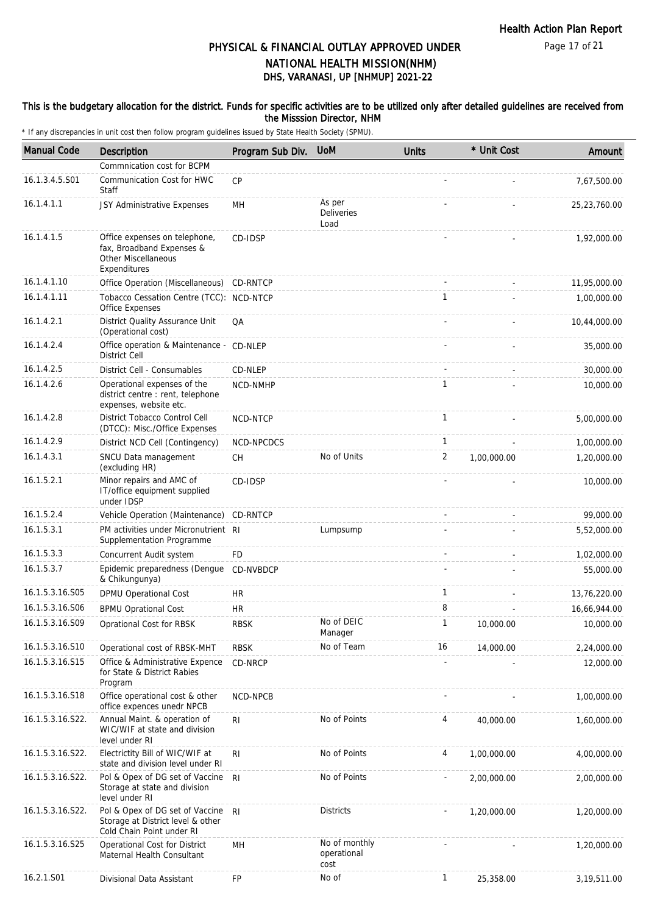Page 17 of 21

## DHS, VARANASI, UP [NHMUP] 2021-22 PHYSICAL & FINANCIAL OUTLAY APPROVED UNDER NATIONAL HEALTH MISSION(NHM)

#### This is the budgetary allocation for the district. Funds for specific activities are to be utilized only after detailed guidelines are received from the Misssion Director, NHM

| <b>Manual Code</b> | Description                                                                                              | Program Sub Div. | <b>UoM</b>                           | <b>Units</b>   | * Unit Cost | Amount        |
|--------------------|----------------------------------------------------------------------------------------------------------|------------------|--------------------------------------|----------------|-------------|---------------|
|                    | Commnication cost for BCPM                                                                               |                  |                                      |                |             |               |
| 16.1.3.4.5.S01     | Communication Cost for HWC<br>Staff                                                                      | CP               |                                      |                |             | 7,67,500.00   |
| 16.1.4.1.1         | JSY Administrative Expenses                                                                              | MH               | As per<br><b>Deliveries</b><br>Load  |                |             | 25,23,760.00  |
| 16.1.4.1.5         | Office expenses on telephone,<br>fax, Broadband Expenses &<br><b>Other Miscellaneous</b><br>Expenditures | CD-IDSP          |                                      |                |             | 1,92,000.00   |
| 16.1.4.1.10        | Office Operation (Miscellaneous)                                                                         | CD-RNTCP         |                                      |                |             | 11,95,000.00  |
| 16.1.4.1.11        | Tobacco Cessation Centre (TCC): NCD-NTCP<br>Office Expenses                                              |                  |                                      | 1              |             | 1,00,000.00   |
| 16.1.4.2.1         | District Quality Assurance Unit<br>(Operational cost)                                                    | QA               |                                      |                |             | 10,44,000.00  |
| 16.1.4.2.4         | Office operation & Maintenance - CD-NLEP<br><b>District Cell</b>                                         |                  |                                      |                |             | 35,000.00     |
| 16.1.4.2.5         | District Cell - Consumables                                                                              | CD-NLEP          |                                      |                |             | 30,000.00     |
| 16.1.4.2.6         | Operational expenses of the<br>district centre: rent, telephone<br>expenses, website etc.                | NCD-NMHP         |                                      | $\mathbf{1}$   |             | 10,000.00     |
| 16.1.4.2.8         | District Tobacco Control Cell<br>(DTCC): Misc./Office Expenses                                           | NCD-NTCP         |                                      | $\mathbf{1}$   |             | 5,00,000.00   |
| 16.1.4.2.9         | District NCD Cell (Contingency)                                                                          | NCD-NPCDCS       |                                      | $\mathbf{1}$   |             | 1,00,000.00   |
| 16.1.4.3.1         | SNCU Data management<br>(excluding HR)                                                                   | <b>CH</b>        | No of Units                          | $\overline{2}$ | 1,00,000.00 | 1,20,000.00   |
| 16.1.5.2.1         | Minor repairs and AMC of<br>IT/office equipment supplied<br>under IDSP                                   | CD-IDSP          |                                      |                |             | 10,000.00     |
| 16.1.5.2.4         | Vehicle Operation (Maintenance)                                                                          | CD-RNTCP         |                                      |                |             | 99,000.00     |
| 16.1.5.3.1         | PM activities under Micronutrient RI<br>Supplementation Programme                                        |                  | Lumpsump                             |                |             | 5,52,000.00   |
| 16.1.5.3.3         | Concurrent Audit system                                                                                  | <b>FD</b>        |                                      |                |             | 1,02,000.00   |
| 16.1.5.3.7         | Epidemic preparedness (Dengue<br>& Chikungunya)                                                          | CD-NVBDCP        |                                      |                |             | 55,000.00     |
| 16.1.5.3.16.S05    | DPMU Operational Cost                                                                                    | HR               |                                      | 1              |             | 13,76,220.00  |
| 16.1.5.3.16.S06    | <b>BPMU Oprational Cost</b>                                                                              | HR               |                                      | 8              |             | 16,66,944.00  |
| 16.1.5.3.16.S09    | Oprational Cost for RBSK                                                                                 | <b>RBSK</b>      | No of DEIC<br>Manager                | 1              | 10,000.00   | 10,000.00     |
| 16.1.5.3.16.S10    | Operational cost of RBSK-MHT                                                                             | <b>RBSK</b>      | No of Team                           | 16             | 14,000.00   | 2,24,000.00   |
| 16.1.5.3.16.S15    | Office & Administrative Expence<br>for State & District Rabies<br>Program                                | CD-NRCP          |                                      |                |             | 12,000.00     |
| 16.1.5.3.16.S18    | Office operational cost & other<br>office expences unedr NPCB                                            | NCD-NPCB         |                                      |                |             | 1,00,000.00   |
| 16.1.5.3.16.S22.   | Annual Maint. & operation of<br>WIC/WIF at state and division<br>level under RI                          | RI               | No of Points                         | 4              | 40,000.00   | 1,60,000.00   |
| 16.1.5.3.16.S22.   | Electrictity Bill of WIC/WIF at<br>state and division level under RI                                     | RI.              | No of Points                         | 4              | 1,00,000.00 | 4,00,000.00   |
| 16.1.5.3.16.S22.   | Pol & Opex of DG set of Vaccine<br>Storage at state and division<br>level under RI                       | -RI              | No of Points                         |                | 2,00,000.00 | 2,00,000.00   |
| 16.1.5.3.16.S22.   | Pol & Opex of DG set of Vaccine<br>Storage at District level & other<br>Cold Chain Point under RI        | -RI              | <b>Districts</b>                     |                | 1,20,000.00 | 1,20,000.00   |
| 16.1.5.3.16.S25    | Operational Cost for District<br>Maternal Health Consultant                                              | MН               | No of monthly<br>operational<br>cost |                |             | 1,20,000.00   |
| 16.2.1.S01         | Divisional Data Assistant                                                                                | FP               | No of                                | 1              | 25,358.00   | 3, 19, 511.00 |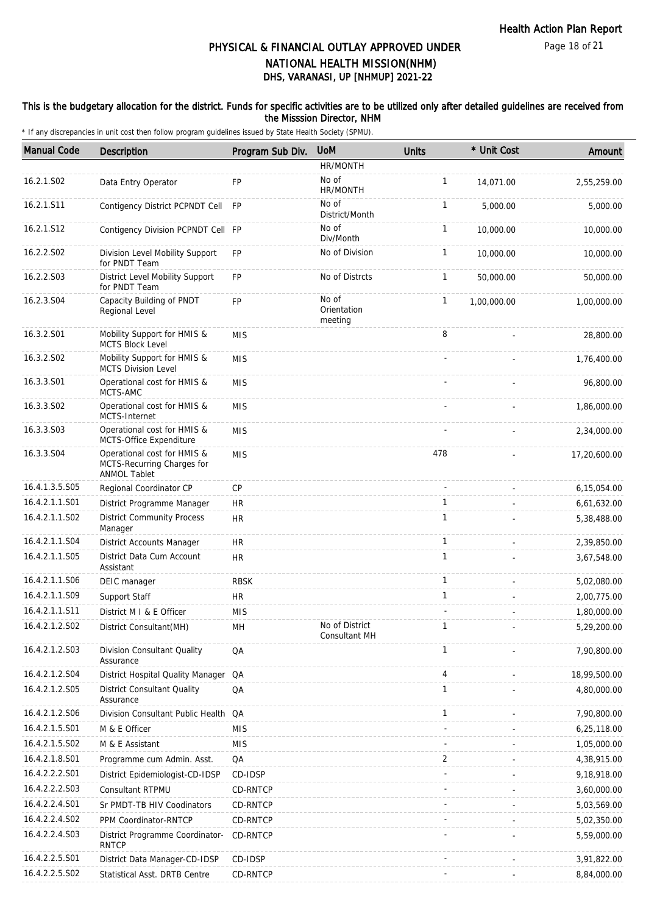#### This is the budgetary allocation for the district. Funds for specific activities are to be utilized only after detailed guidelines are received from the Misssion Director, NHM

| <b>Manual Code</b> | <b>Description</b>                                                               | Program Sub Div. | <b>UoM</b>                      | Units        | * Unit Cost | Amount       |
|--------------------|----------------------------------------------------------------------------------|------------------|---------------------------------|--------------|-------------|--------------|
|                    |                                                                                  |                  | HR/MONTH                        |              |             |              |
| 16.2.1.S02         | Data Entry Operator                                                              | <b>FP</b>        | No of<br>HR/MONTH               | $\mathbf{1}$ | 14,071.00   | 2,55,259.00  |
| 16.2.1.S11         | Contigency District PCPNDT Cell FP                                               |                  | No of<br>District/Month         | $\mathbf{1}$ | 5,000.00    | 5,000.00     |
| 16.2.1.S12         | Contigency Division PCPNDT Cell FP                                               |                  | No of<br>Div/Month              | 1            | 10,000.00   | 10,000.00    |
| 16.2.2.S02         | Division Level Mobility Support<br>for PNDT Team                                 | <b>FP</b>        | No of Division                  | $\mathbf{1}$ | 10,000.00   | 10,000.00    |
| 16.2.2.S03         | District Level Mobility Support<br>for PNDT Team                                 | <b>FP</b>        | No of Distrcts                  | $\mathbf{1}$ | 50,000.00   | 50,000.00    |
| 16.2.3.S04         | Capacity Building of PNDT<br>Regional Level                                      | FP               | No of<br>Orientation<br>meeting | $\mathbf{1}$ | 1,00,000.00 | 1,00,000.00  |
| 16.3.2.S01         | Mobility Support for HMIS &<br>MCTS Block Level                                  | <b>MIS</b>       |                                 | 8            |             | 28,800.00    |
| 16.3.2.S02         | Mobility Support for HMIS &<br><b>MCTS Division Level</b>                        | <b>MIS</b>       |                                 |              |             | 1,76,400.00  |
| 16.3.3.S01         | Operational cost for HMIS &<br>MCTS-AMC                                          | <b>MIS</b>       |                                 |              |             | 96,800.00    |
| 16.3.3.S02         | Operational cost for HMIS &<br><b>MCTS-Internet</b>                              | <b>MIS</b>       |                                 |              |             | 1,86,000.00  |
| 16.3.3.S03         | Operational cost for HMIS &<br>MCTS-Office Expenditure                           | <b>MIS</b>       |                                 |              |             | 2,34,000.00  |
| 16.3.3.S04         | Operational cost for HMIS &<br>MCTS-Recurring Charges for<br><b>ANMOL Tablet</b> | <b>MIS</b>       |                                 | 478          |             | 17,20,600.00 |
| 16.4.1.3.5.S05     | Regional Coordinator CP                                                          | CP               |                                 |              |             | 6,15,054.00  |
| 16.4.2.1.1.S01     | District Programme Manager                                                       | <b>HR</b>        |                                 | $\mathbf{1}$ |             | 6,61,632.00  |
| 16.4.2.1.1.S02     | <b>District Community Process</b><br>Manager                                     | <b>HR</b>        |                                 | $\mathbf{1}$ |             | 5,38,488.00  |
| 16.4.2.1.1.S04     | <b>District Accounts Manager</b>                                                 | <b>HR</b>        |                                 | $\mathbf{1}$ |             | 2,39,850.00  |
| 16.4.2.1.1.S05     | District Data Cum Account<br>Assistant                                           | <b>HR</b>        |                                 | $\mathbf{1}$ |             | 3,67,548.00  |
| 16.4.2.1.1.S06     | DEIC manager                                                                     | <b>RBSK</b>      |                                 | $\mathbf{1}$ |             | 5,02,080.00  |
| 16.4.2.1.1.S09     | Support Staff                                                                    | <b>HR</b>        |                                 | $\mathbf{1}$ |             | 2,00,775.00  |
| 16.4.2.1.1.S11     | District M I & E Officer                                                         | <b>MIS</b>       |                                 |              |             | 1,80,000.00  |
| 16.4.2.1.2.S02     | District Consultant(MH)                                                          | MH               | No of District<br>Consultant MH | 1            |             | 5,29,200.00  |
| 16.4.2.1.2.S03     | Division Consultant Quality<br>Assurance                                         | QA               |                                 | 1            |             | 7,90,800.00  |
| 16.4.2.1.2.S04     | District Hospital Quality Manager QA                                             |                  |                                 | 4            |             | 18,99,500.00 |
| 16.4.2.1.2.S05     | <b>District Consultant Quality</b><br>Assurance                                  | QA               |                                 | $\mathbf{1}$ |             | 4,80,000.00  |
| 16.4.2.1.2.S06     | Division Consultant Public Health QA                                             |                  |                                 | $\mathbf{1}$ |             | 7,90,800.00  |
| 16.4.2.1.5.S01     | M & E Officer                                                                    | <b>MIS</b>       |                                 |              |             | 6,25,118.00  |
| 16.4.2.1.5.S02     | M & E Assistant                                                                  | <b>MIS</b>       |                                 |              |             | 1,05,000.00  |
| 16.4.2.1.8.S01     | Programme cum Admin. Asst.                                                       | QA               |                                 | 2            |             | 4,38,915.00  |
| 16.4.2.2.2.S01     | District Epidemiologist-CD-IDSP                                                  | CD-IDSP          |                                 |              |             | 9,18,918.00  |
| 16.4.2.2.2.S03     | Consultant RTPMU                                                                 | CD-RNTCP         |                                 |              |             | 3,60,000.00  |
| 16.4.2.2.4.S01     | Sr PMDT-TB HIV Coodinators                                                       | CD-RNTCP         |                                 |              |             | 5,03,569.00  |
| 16.4.2.2.4.S02     | PPM Coordinator-RNTCP                                                            | CD-RNTCP         |                                 |              |             | 5,02,350.00  |
| 16.4.2.2.4.S03     | District Programme Coordinator-<br><b>RNTCP</b>                                  | CD-RNTCP         |                                 |              |             | 5,59,000.00  |
| 16.4.2.2.5.S01     | District Data Manager-CD-IDSP                                                    | CD-IDSP          |                                 |              |             | 3,91,822.00  |
| 16.4.2.2.5.S02     | Statistical Asst. DRTB Centre                                                    | CD-RNTCP         |                                 |              |             | 8,84,000.00  |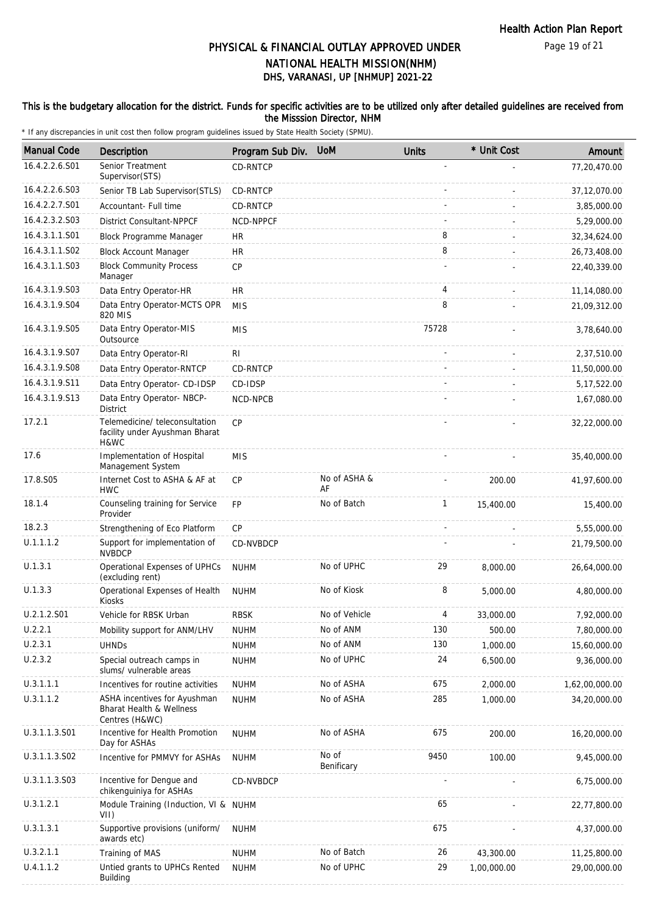Page 19 of 21

# DHS, VARANASI, UP [NHMUP] 2021-22 PHYSICAL & FINANCIAL OUTLAY APPROVED UNDER NATIONAL HEALTH MISSION(NHM)

#### This is the budgetary allocation for the district. Funds for specific activities are to be utilized only after detailed guidelines are received from the Misssion Director, NHM

| <b>Manual Code</b> | Description                                                                           | Program Sub Div. | <b>UoM</b>          | <b>Units</b> | * Unit Cost | Amount         |
|--------------------|---------------------------------------------------------------------------------------|------------------|---------------------|--------------|-------------|----------------|
| 16.4.2.2.6.S01     | Senior Treatment<br>Supervisor (STS)                                                  | <b>CD-RNTCP</b>  |                     |              |             | 77,20,470.00   |
| 16.4.2.2.6.S03     | Senior TB Lab Supervisor (STLS)                                                       | CD-RNTCP         |                     |              |             | 37,12,070.00   |
| 16.4.2.2.7.S01     | Accountant- Full time                                                                 | <b>CD-RNTCP</b>  |                     |              |             | 3,85,000.00    |
| 16.4.2.3.2.S03     | <b>District Consultant-NPPCF</b>                                                      | NCD-NPPCF        |                     |              |             | 5,29,000.00    |
| 16.4.3.1.1.S01     | <b>Block Programme Manager</b>                                                        | <b>HR</b>        |                     | 8            |             | 32,34,624.00   |
| 16.4.3.1.1.S02     | <b>Block Account Manager</b>                                                          | <b>HR</b>        |                     | 8            |             | 26,73,408.00   |
| 16.4.3.1.1.S03     | <b>Block Community Process</b><br>Manager                                             | CP               |                     |              |             | 22,40,339.00   |
| 16.4.3.1.9.S03     | Data Entry Operator-HR                                                                | HR               |                     | 4            |             | 11,14,080.00   |
| 16.4.3.1.9.S04     | Data Entry Operator-MCTS OPR<br>820 MIS                                               | <b>MIS</b>       |                     | 8            |             | 21,09,312.00   |
| 16.4.3.1.9.S05     | Data Entry Operator-MIS<br>Outsource                                                  | <b>MIS</b>       |                     | 75728        |             | 3,78,640.00    |
| 16.4.3.1.9.S07     | Data Entry Operator-RI                                                                | RI               |                     |              |             | 2,37,510.00    |
| 16.4.3.1.9.S08     | Data Entry Operator-RNTCP                                                             | CD-RNTCP         |                     |              |             | 11,50,000.00   |
| 16.4.3.1.9.S11     | Data Entry Operator- CD-IDSP                                                          | CD-IDSP          |                     |              |             | 5, 17, 522.00  |
| 16.4.3.1.9.S13     | Data Entry Operator- NBCP-<br><b>District</b>                                         | NCD-NPCB         |                     |              |             | 1,67,080.00    |
| 17.2.1             | Telemedicine/ teleconsultation<br>facility under Ayushman Bharat<br>H&WC              | <b>CP</b>        |                     |              |             | 32,22,000.00   |
| 17.6               | Implementation of Hospital<br>Management System                                       | <b>MIS</b>       |                     |              |             | 35,40,000.00   |
| 17.8.S05           | Internet Cost to ASHA & AF at<br><b>HWC</b>                                           | CP               | No of ASHA &<br>AF  |              | 200.00      | 41,97,600.00   |
| 18.1.4             | Counseling training for Service<br>Provider                                           | FP               | No of Batch         | $\mathbf{1}$ | 15,400.00   | 15,400.00      |
| 18.2.3             | Strengthening of Eco Platform                                                         | CP               |                     |              |             | 5,55,000.00    |
| U.1.1.1.2          | Support for implementation of<br><b>NVBDCP</b>                                        | CD-NVBDCP        |                     |              |             | 21,79,500.00   |
| U.1.3.1            | Operational Expenses of UPHCs<br>(excluding rent)                                     | <b>NUHM</b>      | No of UPHC          | 29           | 8,000.00    | 26,64,000.00   |
| U.1.3.3            | Operational Expenses of Health<br>Kiosks                                              | <b>NUHM</b>      | No of Kiosk         | 8            | 5,000.00    | 4,80,000.00    |
| U.2.1.2.S01        | Vehicle for RBSK Urban                                                                | <b>RBSK</b>      | No of Vehicle       | 4            | 33,000.00   | 7,92,000.00    |
| U.2.2.1            | Mobility support for ANM/LHV                                                          | <b>NUHM</b>      | No of ANM           | 130          | 500.00      | 7,80,000.00    |
| U.2.3.1            | <b>UHNDs</b>                                                                          | <b>NUHM</b>      | No of ANM           | 130          | 1,000.00    | 15,60,000.00   |
| U.2.3.2            | Special outreach camps in<br>slums/ vulnerable areas                                  | <b>NUHM</b>      | No of UPHC          | 24           | 6,500.00    | 9,36,000.00    |
| U.3.1.1.1          | Incentives for routine activities                                                     | <b>NUHM</b>      | No of ASHA          | 675          | 2,000.00    | 1,62,00,000.00 |
| U.3.1.1.2          | ASHA incentives for Ayushman<br><b>Bharat Health &amp; Wellness</b><br>Centres (H&WC) | <b>NUHM</b>      | No of ASHA          | 285          | 1,000.00    | 34,20,000.00   |
| U.3.1.1.3.S01      | Incentive for Health Promotion<br>Day for ASHAs                                       | <b>NUHM</b>      | No of ASHA          | 675          | 200.00      | 16,20,000.00   |
| U.3.1.1.3.S02      | Incentive for PMMVY for ASHAs                                                         | <b>NUHM</b>      | No of<br>Benificary | 9450         | 100.00      | 9,45,000.00    |
| U.3.1.1.3.S03      | Incentive for Dengue and<br>chikenguiniya for ASHAs                                   | CD-NVBDCP        |                     |              |             | 6,75,000.00    |
| U.3.1.2.1          | Module Training (Induction, VI & NUHM<br>VII)                                         |                  |                     | 65           |             | 22,77,800.00   |
| U.3.1.3.1          | Supportive provisions (uniform/<br>awards etc)                                        | <b>NUHM</b>      |                     | 675          |             | 4,37,000.00    |
| U.3.2.1.1          | Training of MAS                                                                       | <b>NUHM</b>      | No of Batch         | 26           | 43,300.00   | 11,25,800.00   |
| U.4.1.1.2          | Untied grants to UPHCs Rented<br>Building                                             | <b>NUHM</b>      | No of UPHC          | 29           | 1,00,000.00 | 29,00,000.00   |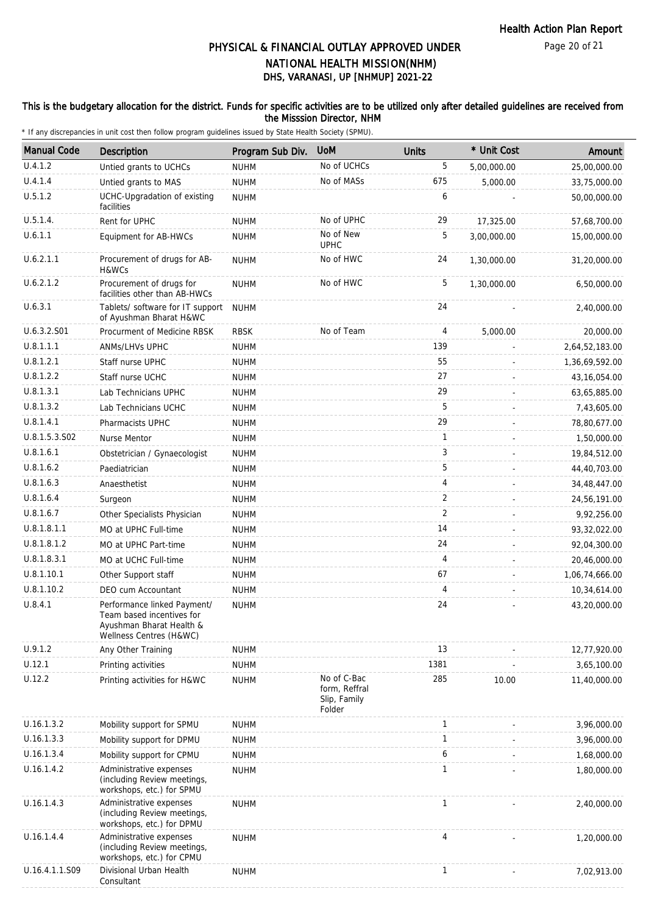Page 20 of 21

# DHS, VARANASI, UP [NHMUP] 2021-22 PHYSICAL & FINANCIAL OUTLAY APPROVED UNDER NATIONAL HEALTH MISSION(NHM)

#### This is the budgetary allocation for the district. Funds for specific activities are to be utilized only after detailed guidelines are received from the Misssion Director, NHM

| <b>Manual Code</b> | <b>Description</b>                                                                                              | Program Sub Div. | <b>UoM</b>                                             | <b>Units</b>   | * Unit Cost | Amount         |
|--------------------|-----------------------------------------------------------------------------------------------------------------|------------------|--------------------------------------------------------|----------------|-------------|----------------|
| U.4.1.2            | Untied grants to UCHCs                                                                                          | <b>NUHM</b>      | No of UCHCs                                            | 5              | 5,00,000.00 | 25,00,000.00   |
| U.4.1.4            | Untied grants to MAS                                                                                            | <b>NUHM</b>      | No of MASs                                             | 675            | 5,000.00    | 33,75,000.00   |
| U.5.1.2            | UCHC-Upgradation of existing<br>facilities                                                                      | <b>NUHM</b>      |                                                        | 6              |             | 50,00,000.00   |
| U.5.1.4.           | Rent for UPHC                                                                                                   | <b>NUHM</b>      | No of UPHC                                             | 29             | 17,325.00   | 57,68,700.00   |
| U.6.1.1            | Equipment for AB-HWCs                                                                                           | <b>NUHM</b>      | No of New<br><b>UPHC</b>                               | 5              | 3,00,000.00 | 15,00,000.00   |
| U.6.2.1.1          | Procurement of drugs for AB-<br>H&WCs                                                                           | <b>NUHM</b>      | No of HWC                                              | 24             | 1,30,000.00 | 31,20,000.00   |
| U.6.2.1.2          | Procurement of drugs for<br>facilities other than AB-HWCs                                                       | <b>NUHM</b>      | No of HWC                                              | 5              | 1,30,000.00 | 6,50,000.00    |
| U.6.3.1            | Tablets/ software for IT support<br>of Ayushman Bharat H&WC                                                     | <b>NUHM</b>      |                                                        | 24             |             | 2,40,000.00    |
| U.6.3.2.S01        | Procurment of Medicine RBSK                                                                                     | <b>RBSK</b>      | No of Team                                             | 4              | 5,000.00    | 20,000.00      |
| U.8.1.1.1          | ANMs/LHVs UPHC                                                                                                  | <b>NUHM</b>      |                                                        | 139            |             | 2,64,52,183.00 |
| U.8.1.2.1          | Staff nurse UPHC                                                                                                | <b>NUHM</b>      |                                                        | 55             |             | 1,36,69,592.00 |
| U.8.1.2.2          | Staff nurse UCHC                                                                                                | <b>NUHM</b>      |                                                        | 27             |             | 43, 16, 054.00 |
| U.8.1.3.1          | Lab Technicians UPHC                                                                                            | <b>NUHM</b>      |                                                        | 29             |             | 63,65,885.00   |
| U.8.1.3.2          | Lab Technicians UCHC                                                                                            | <b>NUHM</b>      |                                                        | 5              |             | 7,43,605.00    |
| U.8.1.4.1          | Pharmacists UPHC                                                                                                | <b>NUHM</b>      |                                                        | 29             |             | 78,80,677.00   |
| U.8.1.5.3.S02      | Nurse Mentor                                                                                                    | <b>NUHM</b>      |                                                        | $\mathbf{1}$   |             | 1,50,000.00    |
| U.8.1.6.1          | Obstetrician / Gynaecologist                                                                                    | <b>NUHM</b>      |                                                        | 3              |             | 19,84,512.00   |
| U.8.1.6.2          | Paediatrician                                                                                                   | <b>NUHM</b>      |                                                        | 5              |             | 44,40,703.00   |
| U.8.1.6.3          | Anaesthetist                                                                                                    | <b>NUHM</b>      |                                                        | 4              |             | 34,48,447.00   |
| U.8.1.6.4          | Surgeon                                                                                                         | <b>NUHM</b>      |                                                        | 2              |             | 24,56,191.00   |
| U.8.1.6.7          | Other Specialists Physician                                                                                     | <b>NUHM</b>      |                                                        | $\overline{2}$ |             | 9,92,256.00    |
| U.8.1.8.1.1        | MO at UPHC Full-time                                                                                            | <b>NUHM</b>      |                                                        | 14             |             | 93,32,022.00   |
| U.8.1.8.1.2        | MO at UPHC Part-time                                                                                            | <b>NUHM</b>      |                                                        | 24             |             | 92,04,300.00   |
| U.8.1.8.3.1        | MO at UCHC Full-time                                                                                            | <b>NUHM</b>      |                                                        | 4              |             | 20,46,000.00   |
| U.8.1.10.1         | Other Support staff                                                                                             | <b>NUHM</b>      |                                                        | 67             |             | 1,06,74,666.00 |
| U.8.1.10.2         | DEO cum Accountant                                                                                              | <b>NUHM</b>      |                                                        | 4              |             | 10,34,614.00   |
| U.8.4.1            | Performance linked Payment/<br>Team based incentives for<br>Ayushman Bharat Health &<br>Wellness Centres (H&WC) | <b>NUHM</b>      |                                                        | 24             |             | 43,20,000.00   |
| U.9.1.2            | Any Other Training                                                                                              | <b>NUHM</b>      |                                                        | 13             |             | 12,77,920.00   |
| U.12.1             | Printing activities                                                                                             | <b>NUHM</b>      |                                                        | 1381           |             | 3,65,100.00    |
| U.12.2             | Printing activities for H&WC                                                                                    | <b>NUHM</b>      | No of C-Bac<br>form, Reffral<br>Slip, Family<br>Folder | 285            | 10.00       | 11,40,000.00   |
| U.16.1.3.2         | Mobility support for SPMU                                                                                       | <b>NUHM</b>      |                                                        | $\mathbf{1}$   |             | 3,96,000.00    |
| U.16.1.3.3         | Mobility support for DPMU                                                                                       | <b>NUHM</b>      |                                                        | $\mathbf{1}$   |             | 3,96,000.00    |
| U.16.1.3.4         | Mobility support for CPMU                                                                                       | <b>NUHM</b>      |                                                        | 6              |             | 1,68,000.00    |
| U.16.1.4.2         | Administrative expenses<br>(including Review meetings,<br>workshops, etc.) for SPMU                             | <b>NUHM</b>      |                                                        | 1              |             | 1,80,000.00    |
| U.16.1.4.3         | Administrative expenses<br>(including Review meetings,<br>workshops, etc.) for DPMU                             | <b>NUHM</b>      |                                                        | $\mathbf{1}$   |             | 2,40,000.00    |
| U.16.1.4.4         | Administrative expenses<br>(including Review meetings,<br>workshops, etc.) for CPMU                             | <b>NUHM</b>      |                                                        | 4              |             | 1,20,000.00    |
| U.16.4.1.1.S09     | Divisional Urban Health<br>Consultant                                                                           | <b>NUHM</b>      |                                                        | $\mathbf{1}$   |             | 7,02,913.00    |